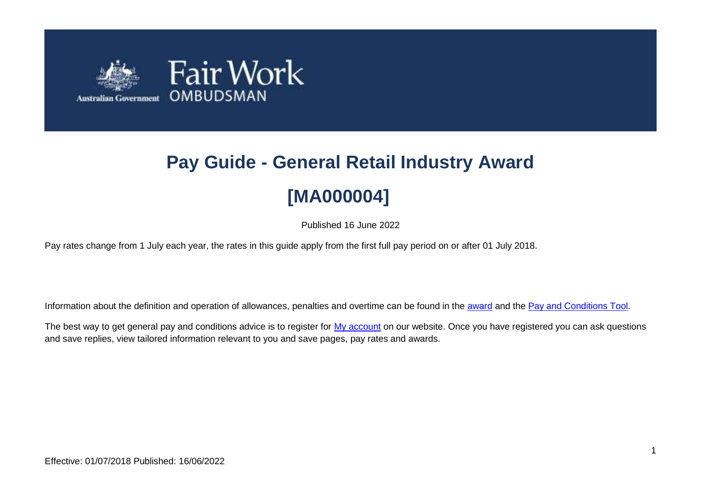

# **Pay Guide - General Retail Industry Award [MA000004]**

Published 16 June 2022

Pay rates change from 1 July each year, the rates in this guide apply from the first full pay period on or after 01 July 2018.

Information about the definition and operation of allowances, penalties and overtime can be found in the [award](https://www.fairwork.gov.au/awards-and-agreements/awards/list-of-awards) and the [Pay and Conditions Tool.](https://calculate.fairwork.gov.au/)

The best way to get general pay and conditions advice is to register for [My account](https://www.fairwork.gov.au/my-account/registerpage.aspx) on our website. Once you have registered you can ask questions and save replies, view tailored information relevant to you and save pages, pay rates and awards.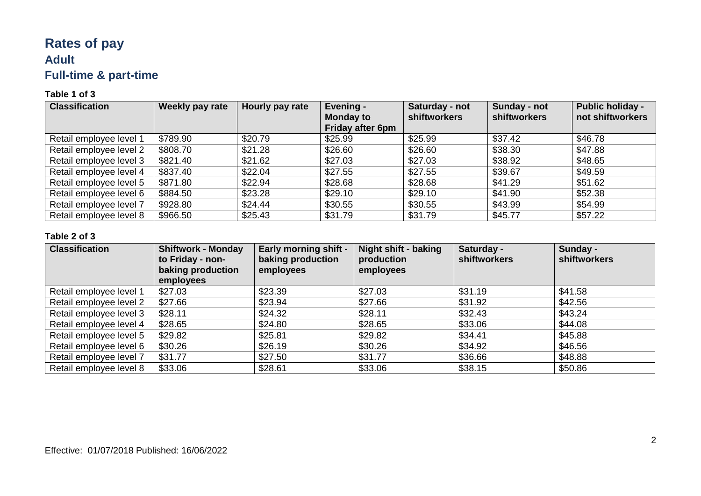# **Rates of pay Adult Full-time & part-time**

#### **Table 1 of 3**

| <b>Classification</b>   | Weekly pay rate | Hourly pay rate | Evening -<br><b>Monday to</b><br>Friday after 6pm | Saturday - not<br><b>shiftworkers</b> | Sunday - not<br>shiftworkers | <b>Public holiday -</b><br>not shiftworkers |
|-------------------------|-----------------|-----------------|---------------------------------------------------|---------------------------------------|------------------------------|---------------------------------------------|
| Retail employee level 1 | \$789.90        | \$20.79         | \$25.99                                           | \$25.99                               | \$37.42                      | \$46.78                                     |
| Retail employee level 2 | \$808.70        | \$21.28         | \$26.60                                           | \$26.60                               | \$38.30                      | \$47.88                                     |
| Retail employee level 3 | \$821.40        | \$21.62         | \$27.03                                           | \$27.03                               | \$38.92                      | \$48.65                                     |
| Retail employee level 4 | \$837.40        | \$22.04         | \$27.55                                           | \$27.55                               | \$39.67                      | \$49.59                                     |
| Retail employee level 5 | \$871.80        | \$22.94         | \$28.68                                           | \$28.68                               | \$41.29                      | \$51.62                                     |
| Retail employee level 6 | \$884.50        | \$23.28         | \$29.10                                           | \$29.10                               | \$41.90                      | \$52.38                                     |
| Retail employee level 7 | \$928.80        | \$24.44         | \$30.55                                           | \$30.55                               | \$43.99                      | \$54.99                                     |
| Retail employee level 8 | \$966.50        | \$25.43         | \$31.79                                           | \$31.79                               | \$45.77                      | \$57.22                                     |

| <b>Classification</b>   | <b>Shiftwork - Monday</b><br>to Friday - non-<br>baking production<br>employees | <b>Early morning shift -</b><br>baking production<br>employees | <b>Night shift - baking</b><br>production<br>employees | Saturday -<br><b>shiftworkers</b> | Sunday -<br><b>shiftworkers</b> |
|-------------------------|---------------------------------------------------------------------------------|----------------------------------------------------------------|--------------------------------------------------------|-----------------------------------|---------------------------------|
| Retail employee level 1 | \$27.03                                                                         | \$23.39                                                        | \$27.03                                                | \$31.19                           | \$41.58                         |
| Retail employee level 2 | \$27.66                                                                         | \$23.94                                                        | \$27.66                                                | \$31.92                           | \$42.56                         |
| Retail employee level 3 | \$28.11                                                                         | \$24.32                                                        | \$28.11                                                | \$32.43                           | \$43.24                         |
| Retail employee level 4 | \$28.65                                                                         | \$24.80                                                        | \$28.65                                                | \$33.06                           | \$44.08                         |
| Retail employee level 5 | \$29.82                                                                         | \$25.81                                                        | \$29.82                                                | \$34.41                           | \$45.88                         |
| Retail employee level 6 | \$30.26                                                                         | \$26.19                                                        | \$30.26                                                | \$34.92                           | \$46.56                         |
| Retail employee level 7 | \$31.77                                                                         | \$27.50                                                        | \$31.77                                                | \$36.66                           | \$48.88                         |
| Retail employee level 8 | \$33.06                                                                         | \$28.61                                                        | \$33.06                                                | \$38.15                           | \$50.86                         |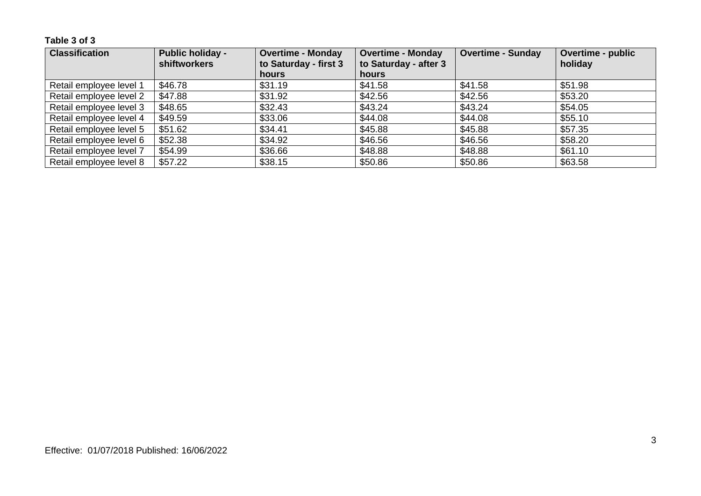**Table 3 of 3**

| <b>Classification</b>   | <b>Public holiday -</b><br>shiftworkers | <b>Overtime - Monday</b><br>to Saturday - first 3 | <b>Overtime - Monday</b><br>to Saturday - after 3 | <b>Overtime - Sunday</b> | <b>Overtime - public</b><br>holiday |
|-------------------------|-----------------------------------------|---------------------------------------------------|---------------------------------------------------|--------------------------|-------------------------------------|
|                         |                                         | hours                                             | <b>hours</b>                                      |                          |                                     |
| Retail employee level 1 | \$46.78                                 | \$31.19                                           | \$41.58                                           | \$41.58                  | \$51.98                             |
| Retail employee level 2 | \$47.88                                 | \$31.92                                           | \$42.56                                           | \$42.56                  | \$53.20                             |
| Retail employee level 3 | \$48.65                                 | \$32.43                                           | \$43.24                                           | \$43.24                  | \$54.05                             |
| Retail employee level 4 | \$49.59                                 | \$33.06                                           | \$44.08                                           | \$44.08                  | \$55.10                             |
| Retail employee level 5 | \$51.62                                 | \$34.41                                           | \$45.88                                           | \$45.88                  | \$57.35                             |
| Retail employee level 6 | \$52.38                                 | \$34.92                                           | \$46.56                                           | \$46.56                  | \$58.20                             |
| Retail employee level 7 | \$54.99                                 | \$36.66                                           | \$48.88                                           | \$48.88                  | \$61.10                             |
| Retail employee level 8 | \$57.22                                 | \$38.15                                           | \$50.86                                           | \$50.86                  | \$63.58                             |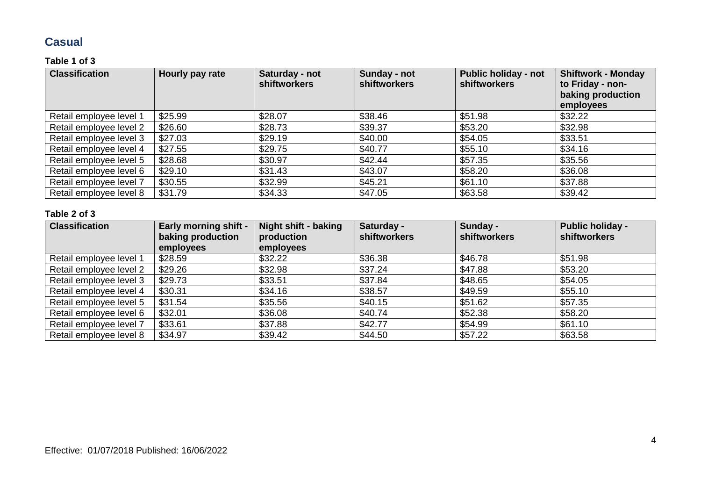### **Casual**

#### **Table 1 of 3**

| <b>Classification</b>   | Hourly pay rate | Saturday - not<br><b>shiftworkers</b> | Sunday - not<br>shiftworkers | <b>Public holiday - not</b><br><b>shiftworkers</b> | Shiftwork - Monday<br>to Friday - non-<br>baking production<br>employees |
|-------------------------|-----------------|---------------------------------------|------------------------------|----------------------------------------------------|--------------------------------------------------------------------------|
| Retail employee level 1 | \$25.99         | \$28.07                               | \$38.46                      | \$51.98                                            | \$32.22                                                                  |
| Retail employee level 2 | \$26.60         | \$28.73                               | \$39.37                      | \$53.20                                            | \$32.98                                                                  |
| Retail employee level 3 | \$27.03         | \$29.19                               | \$40.00                      | \$54.05                                            | \$33.51                                                                  |
| Retail employee level 4 | \$27.55         | \$29.75                               | \$40.77                      | \$55.10                                            | \$34.16                                                                  |
| Retail employee level 5 | \$28.68         | \$30.97                               | \$42.44                      | \$57.35                                            | \$35.56                                                                  |
| Retail employee level 6 | \$29.10         | \$31.43                               | \$43.07                      | \$58.20                                            | \$36.08                                                                  |
| Retail employee level 7 | \$30.55         | \$32.99                               | \$45.21                      | \$61.10                                            | \$37.88                                                                  |
| Retail employee level 8 | \$31.79         | \$34.33                               | \$47.05                      | \$63.58                                            | \$39.42                                                                  |

| <b>Classification</b>   | <b>Early morning shift -</b><br>baking production<br>employees | <b>Night shift - baking</b><br>production<br>employees | Saturday -<br>shiftworkers | Sunday -<br><b>shiftworkers</b> | <b>Public holiday -</b><br><b>shiftworkers</b> |
|-------------------------|----------------------------------------------------------------|--------------------------------------------------------|----------------------------|---------------------------------|------------------------------------------------|
| Retail employee level 1 | \$28.59                                                        | \$32.22                                                | \$36.38                    | \$46.78                         | \$51.98                                        |
| Retail employee level 2 | \$29.26                                                        | \$32.98                                                | \$37.24                    | \$47.88                         | \$53.20                                        |
| Retail employee level 3 | \$29.73                                                        | \$33.51                                                | \$37.84                    | \$48.65                         | \$54.05                                        |
| Retail employee level 4 | \$30.31                                                        | \$34.16                                                | \$38.57                    | \$49.59                         | \$55.10                                        |
| Retail employee level 5 | \$31.54                                                        | \$35.56                                                | \$40.15                    | \$51.62                         | \$57.35                                        |
| Retail employee level 6 | \$32.01                                                        | \$36.08                                                | \$40.74                    | \$52.38                         | \$58.20                                        |
| Retail employee level 7 | \$33.61                                                        | \$37.88                                                | \$42.77                    | \$54.99                         | \$61.10                                        |
| Retail employee level 8 | \$34.97                                                        | \$39.42                                                | \$44.50                    | \$57.22                         | \$63.58                                        |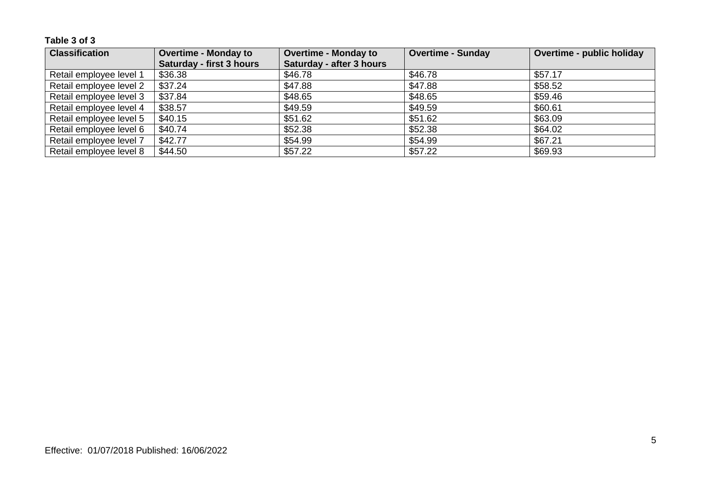| <b>Classification</b>   | <b>Overtime - Monday to</b>     | <b>Overtime - Monday to</b> | Overtime - Sunday | Overtime - public holiday |
|-------------------------|---------------------------------|-----------------------------|-------------------|---------------------------|
|                         | <b>Saturday - first 3 hours</b> | Saturday - after 3 hours    |                   |                           |
| Retail employee level 1 | \$36.38                         | \$46.78                     | \$46.78           | \$57.17                   |
| Retail employee level 2 | \$37.24                         | \$47.88                     | \$47.88           | \$58.52                   |
| Retail employee level 3 | \$37.84                         | \$48.65                     | \$48.65           | \$59.46                   |
| Retail employee level 4 | \$38.57                         | \$49.59                     | \$49.59           | \$60.61                   |
| Retail employee level 5 | \$40.15                         | \$51.62                     | \$51.62           | \$63.09                   |
| Retail employee level 6 | \$40.74                         | \$52.38                     | \$52.38           | \$64.02                   |
| Retail employee level 7 | \$42.77                         | \$54.99                     | \$54.99           | \$67.21                   |
| Retail employee level 8 | \$44.50                         | \$57.22                     | \$57.22           | \$69.93                   |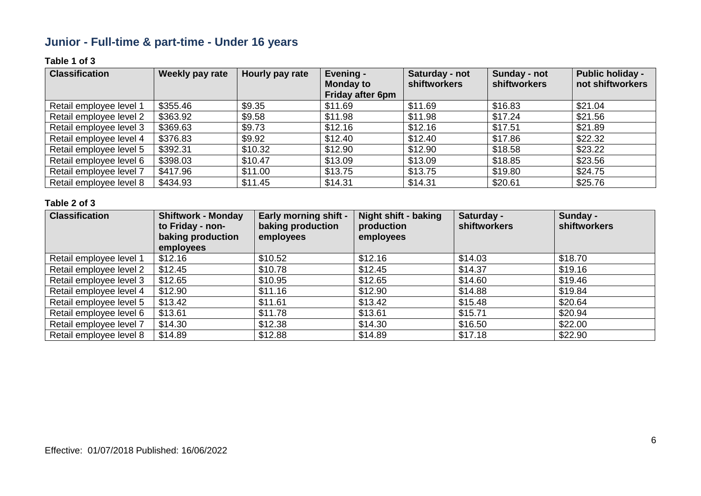# **Junior - Full-time & part-time - Under 16 years**

#### **Table 1 of 3**

| <b>Classification</b>   | Weekly pay rate | Hourly pay rate | Evening -<br><b>Monday to</b><br>Friday after 6pm | Saturday - not<br><b>shiftworkers</b> | Sunday - not<br>shiftworkers | <b>Public holiday -</b><br>not shiftworkers |
|-------------------------|-----------------|-----------------|---------------------------------------------------|---------------------------------------|------------------------------|---------------------------------------------|
| Retail employee level 1 | \$355.46        | \$9.35          | \$11.69                                           | \$11.69                               | \$16.83                      | \$21.04                                     |
| Retail employee level 2 | \$363.92        | \$9.58          | \$11.98                                           | \$11.98                               | \$17.24                      | \$21.56                                     |
| Retail employee level 3 | \$369.63        | \$9.73          | \$12.16                                           | \$12.16                               | \$17.51                      | \$21.89                                     |
| Retail employee level 4 | \$376.83        | \$9.92          | \$12.40                                           | \$12.40                               | \$17.86                      | \$22.32                                     |
| Retail employee level 5 | \$392.31        | \$10.32         | \$12.90                                           | \$12.90                               | \$18.58                      | \$23.22                                     |
| Retail employee level 6 | \$398.03        | \$10.47         | \$13.09                                           | \$13.09                               | \$18.85                      | \$23.56                                     |
| Retail employee level 7 | \$417.96        | \$11.00         | \$13.75                                           | \$13.75                               | \$19.80                      | \$24.75                                     |
| Retail employee level 8 | \$434.93        | \$11.45         | \$14.31                                           | \$14.31                               | \$20.61                      | \$25.76                                     |

| <b>Classification</b>   | <b>Shiftwork - Monday</b><br>to Friday - non-<br>baking production<br>employees | <b>Early morning shift -</b><br>baking production<br>employees | Night shift - baking<br>production<br>employees | Saturday -<br><b>shiftworkers</b> | Sunday -<br>shiftworkers |
|-------------------------|---------------------------------------------------------------------------------|----------------------------------------------------------------|-------------------------------------------------|-----------------------------------|--------------------------|
| Retail employee level 1 | \$12.16                                                                         | \$10.52                                                        | \$12.16                                         | \$14.03                           | \$18.70                  |
| Retail employee level 2 | \$12.45                                                                         | \$10.78                                                        | \$12.45                                         | \$14.37                           | \$19.16                  |
| Retail employee level 3 | \$12.65                                                                         | \$10.95                                                        | \$12.65                                         | \$14.60                           | \$19.46                  |
| Retail employee level 4 | \$12.90                                                                         | \$11.16                                                        | \$12.90                                         | \$14.88                           | \$19.84                  |
| Retail employee level 5 | \$13.42                                                                         | \$11.61                                                        | \$13.42                                         | \$15.48                           | \$20.64                  |
| Retail employee level 6 | \$13.61                                                                         | \$11.78                                                        | \$13.61                                         | \$15.71                           | \$20.94                  |
| Retail employee level 7 | \$14.30                                                                         | \$12.38                                                        | \$14.30                                         | \$16.50                           | \$22.00                  |
| Retail employee level 8 | \$14.89                                                                         | \$12.88                                                        | \$14.89                                         | \$17.18                           | \$22.90                  |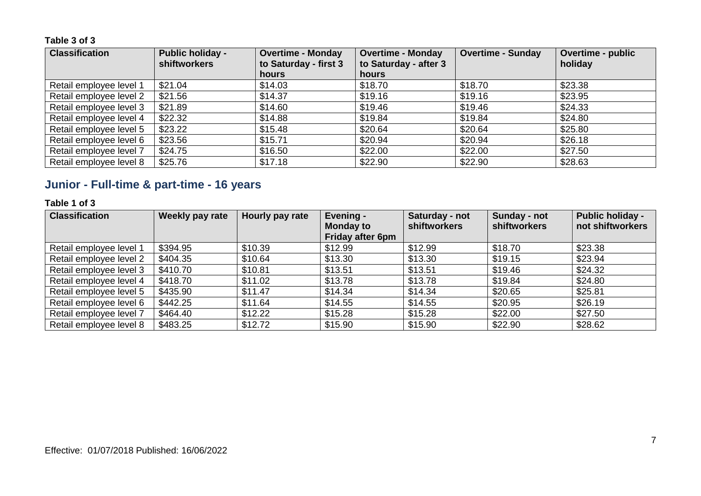| <b>Classification</b>   | <b>Public holiday -</b><br>shiftworkers | <b>Overtime - Monday</b><br>to Saturday - first 3 | <b>Overtime - Monday</b><br>to Saturday - after 3 | <b>Overtime - Sunday</b> | <b>Overtime - public</b><br>holiday |
|-------------------------|-----------------------------------------|---------------------------------------------------|---------------------------------------------------|--------------------------|-------------------------------------|
|                         |                                         | <b>hours</b>                                      | hours                                             |                          |                                     |
| Retail employee level 1 | \$21.04                                 | \$14.03                                           | \$18.70                                           | \$18.70                  | \$23.38                             |
| Retail employee level 2 | \$21.56                                 | \$14.37                                           | \$19.16                                           | \$19.16                  | \$23.95                             |
| Retail employee level 3 | \$21.89                                 | \$14.60                                           | \$19.46                                           | \$19.46                  | \$24.33                             |
| Retail employee level 4 | \$22.32                                 | \$14.88                                           | \$19.84                                           | \$19.84                  | \$24.80                             |
| Retail employee level 5 | \$23.22                                 | \$15.48                                           | \$20.64                                           | \$20.64                  | \$25.80                             |
| Retail employee level 6 | \$23.56                                 | \$15.71                                           | \$20.94                                           | \$20.94                  | \$26.18                             |
| Retail employee level 7 | \$24.75                                 | \$16.50                                           | \$22.00                                           | \$22.00                  | \$27.50                             |
| Retail employee level 8 | \$25.76                                 | \$17.18                                           | \$22.90                                           | \$22.90                  | \$28.63                             |

# **Junior - Full-time & part-time - 16 years**

#### **Table 1 of 3**

| <b>Classification</b>   | Weekly pay rate | Hourly pay rate | Evening -<br><b>Monday to</b><br>Friday after 6pm | Saturday - not<br>shiftworkers | Sunday - not<br>shiftworkers | <b>Public holiday -</b><br>not shiftworkers |
|-------------------------|-----------------|-----------------|---------------------------------------------------|--------------------------------|------------------------------|---------------------------------------------|
| Retail employee level 1 | \$394.95        | \$10.39         | \$12.99                                           | \$12.99                        | \$18.70                      | \$23.38                                     |
| Retail employee level 2 | \$404.35        | \$10.64         | \$13.30                                           | \$13.30                        | \$19.15                      | \$23.94                                     |
| Retail employee level 3 | \$410.70        | \$10.81         | \$13.51                                           | \$13.51                        | \$19.46                      | \$24.32                                     |
| Retail employee level 4 | \$418.70        | \$11.02         | \$13.78                                           | \$13.78                        | \$19.84                      | \$24.80                                     |
| Retail employee level 5 | \$435.90        | \$11.47         | \$14.34                                           | \$14.34                        | \$20.65                      | \$25.81                                     |
| Retail employee level 6 | \$442.25        | \$11.64         | \$14.55                                           | \$14.55                        | \$20.95                      | \$26.19                                     |
| Retail employee level 7 | \$464.40        | \$12.22         | \$15.28                                           | \$15.28                        | \$22.00                      | \$27.50                                     |
| Retail employee level 8 | \$483.25        | \$12.72         | \$15.90                                           | \$15.90                        | \$22.90                      | \$28.62                                     |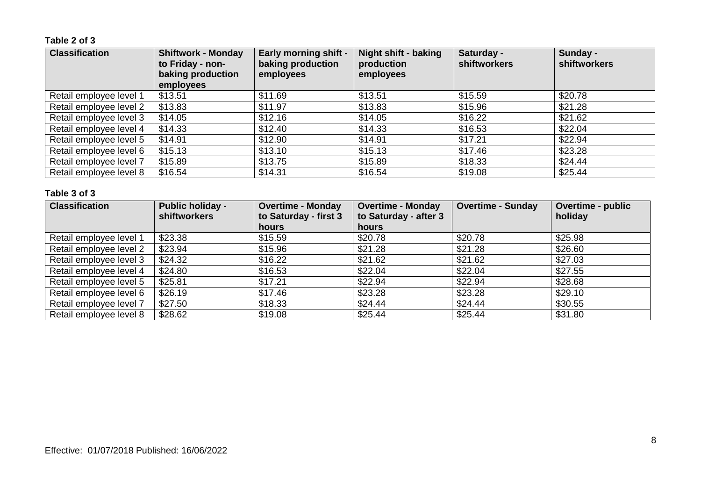#### **Table 2 of 3**

| <b>Classification</b>   | <b>Shiftwork - Monday</b><br>to Friday - non-<br>baking production<br>employees | <b>Early morning shift -</b><br>baking production<br>employees | Night shift - baking<br>production<br>employees | Saturday -<br><b>shiftworkers</b> | Sunday -<br>shiftworkers |
|-------------------------|---------------------------------------------------------------------------------|----------------------------------------------------------------|-------------------------------------------------|-----------------------------------|--------------------------|
| Retail employee level 1 | \$13.51                                                                         | \$11.69                                                        | \$13.51                                         | \$15.59                           | \$20.78                  |
| Retail employee level 2 | \$13.83                                                                         | \$11.97                                                        | \$13.83                                         | \$15.96                           | \$21.28                  |
| Retail employee level 3 | \$14.05                                                                         | \$12.16                                                        | \$14.05                                         | \$16.22                           | \$21.62                  |
| Retail employee level 4 | \$14.33                                                                         | \$12.40                                                        | \$14.33                                         | \$16.53                           | \$22.04                  |
| Retail employee level 5 | \$14.91                                                                         | \$12.90                                                        | \$14.91                                         | \$17.21                           | \$22.94                  |
| Retail employee level 6 | \$15.13                                                                         | \$13.10                                                        | \$15.13                                         | \$17.46                           | \$23.28                  |
| Retail employee level 7 | \$15.89                                                                         | \$13.75                                                        | \$15.89                                         | \$18.33                           | \$24.44                  |
| Retail employee level 8 | \$16.54                                                                         | \$14.31                                                        | \$16.54                                         | \$19.08                           | \$25.44                  |

| <b>Classification</b>   | <b>Public holiday -</b><br><b>shiftworkers</b> | <b>Overtime - Monday</b><br>to Saturday - first 3 | <b>Overtime - Monday</b><br>to Saturday - after 3 | <b>Overtime - Sunday</b> | <b>Overtime - public</b><br>holiday |
|-------------------------|------------------------------------------------|---------------------------------------------------|---------------------------------------------------|--------------------------|-------------------------------------|
|                         |                                                | hours                                             | <b>hours</b>                                      |                          |                                     |
| Retail employee level 1 | \$23.38                                        | \$15.59                                           | \$20.78                                           | \$20.78                  | \$25.98                             |
| Retail employee level 2 | \$23.94                                        | \$15.96                                           | \$21.28                                           | \$21.28                  | \$26.60                             |
| Retail employee level 3 | \$24.32                                        | \$16.22                                           | \$21.62                                           | \$21.62                  | \$27.03                             |
| Retail employee level 4 | \$24.80                                        | \$16.53                                           | \$22.04                                           | \$22.04                  | \$27.55                             |
| Retail employee level 5 | \$25.81                                        | \$17.21                                           | \$22.94                                           | \$22.94                  | \$28.68                             |
| Retail employee level 6 | \$26.19                                        | \$17.46                                           | \$23.28                                           | \$23.28                  | \$29.10                             |
| Retail employee level 7 | \$27.50                                        | \$18.33                                           | \$24.44                                           | \$24.44                  | \$30.55                             |
| Retail employee level 8 | \$28.62                                        | \$19.08                                           | \$25.44                                           | \$25.44                  | \$31.80                             |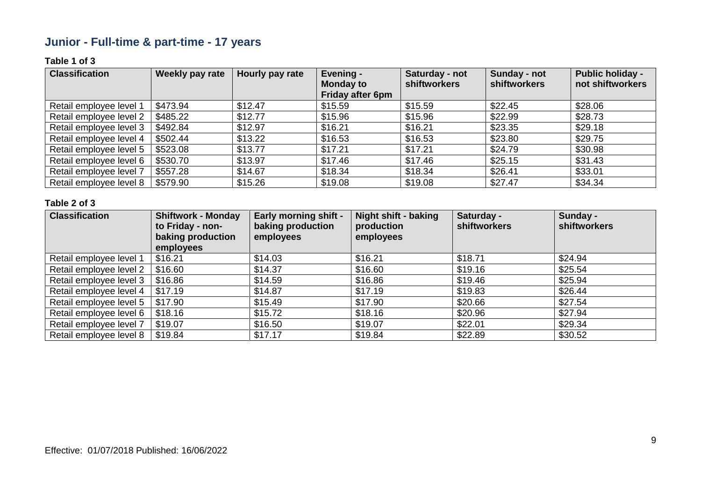# **Junior - Full-time & part-time - 17 years**

#### **Table 1 of 3**

| <b>Classification</b>   | Weekly pay rate | Hourly pay rate | Evening -<br><b>Monday to</b><br>Friday after 6pm | Saturday - not<br><b>shiftworkers</b> | Sunday - not<br>shiftworkers | <b>Public holiday -</b><br>not shiftworkers |
|-------------------------|-----------------|-----------------|---------------------------------------------------|---------------------------------------|------------------------------|---------------------------------------------|
| Retail employee level 1 | \$473.94        | \$12.47         | \$15.59                                           | \$15.59                               | \$22.45                      | \$28.06                                     |
| Retail employee level 2 | \$485.22        | \$12.77         | \$15.96                                           | \$15.96                               | \$22.99                      | \$28.73                                     |
| Retail employee level 3 | \$492.84        | \$12.97         | \$16.21                                           | \$16.21                               | \$23.35                      | \$29.18                                     |
| Retail employee level 4 | \$502.44        | \$13.22         | \$16.53                                           | \$16.53                               | \$23.80                      | \$29.75                                     |
| Retail employee level 5 | \$523.08        | \$13.77         | \$17.21                                           | \$17.21                               | \$24.79                      | \$30.98                                     |
| Retail employee level 6 | \$530.70        | \$13.97         | \$17.46                                           | \$17.46                               | \$25.15                      | \$31.43                                     |
| Retail employee level 7 | \$557.28        | \$14.67         | \$18.34                                           | \$18.34                               | \$26.41                      | \$33.01                                     |
| Retail employee level 8 | \$579.90        | \$15.26         | \$19.08                                           | \$19.08                               | \$27.47                      | \$34.34                                     |

| <b>Classification</b>   | <b>Shiftwork - Monday</b><br>to Friday - non-<br>baking production<br>employees | <b>Early morning shift -</b><br>baking production<br>employees | <b>Night shift - baking</b><br>production<br>employees | Saturday -<br><b>shiftworkers</b> | Sunday -<br>shiftworkers |
|-------------------------|---------------------------------------------------------------------------------|----------------------------------------------------------------|--------------------------------------------------------|-----------------------------------|--------------------------|
| Retail employee level 1 | \$16.21                                                                         | \$14.03                                                        | \$16.21                                                | \$18.71                           | \$24.94                  |
| Retail employee level 2 | \$16.60                                                                         | \$14.37                                                        | \$16.60                                                | \$19.16                           | \$25.54                  |
| Retail employee level 3 | \$16.86                                                                         | \$14.59                                                        | \$16.86                                                | \$19.46                           | \$25.94                  |
| Retail employee level 4 | \$17.19                                                                         | \$14.87                                                        | \$17.19                                                | \$19.83                           | \$26.44                  |
| Retail employee level 5 | \$17.90                                                                         | \$15.49                                                        | \$17.90                                                | \$20.66                           | \$27.54                  |
| Retail employee level 6 | \$18.16                                                                         | \$15.72                                                        | \$18.16                                                | \$20.96                           | \$27.94                  |
| Retail employee level 7 | \$19.07                                                                         | \$16.50                                                        | \$19.07                                                | \$22.01                           | \$29.34                  |
| Retail employee level 8 | \$19.84                                                                         | \$17.17                                                        | \$19.84                                                | \$22.89                           | \$30.52                  |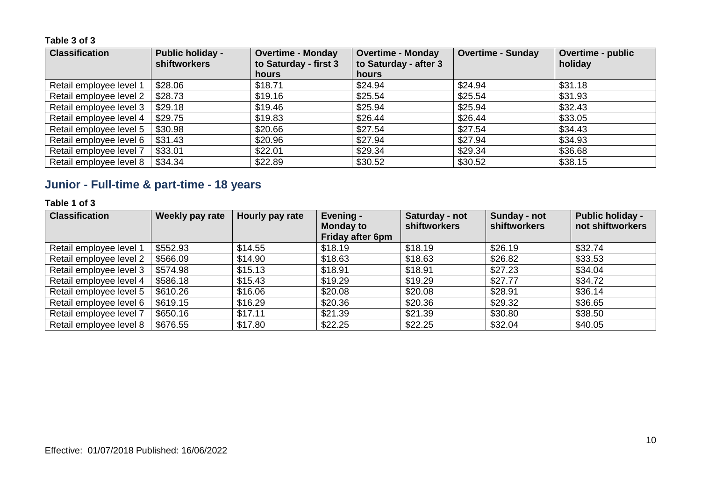| <b>Classification</b>   | <b>Public holiday -</b><br><b>shiftworkers</b> | <b>Overtime - Monday</b><br>to Saturday - first 3 | <b>Overtime - Monday</b><br>to Saturday - after 3 | <b>Overtime - Sunday</b> | Overtime - public<br>holiday |
|-------------------------|------------------------------------------------|---------------------------------------------------|---------------------------------------------------|--------------------------|------------------------------|
|                         |                                                | hours                                             | hours                                             |                          |                              |
| Retail employee level 1 | \$28.06                                        | \$18.71                                           | \$24.94                                           | \$24.94                  | \$31.18                      |
| Retail employee level 2 | \$28.73                                        | \$19.16                                           | \$25.54                                           | \$25.54                  | \$31.93                      |
| Retail employee level 3 | \$29.18                                        | \$19.46                                           | \$25.94                                           | \$25.94                  | \$32.43                      |
| Retail employee level 4 | \$29.75                                        | \$19.83                                           | \$26.44                                           | \$26.44                  | \$33.05                      |
| Retail employee level 5 | \$30.98                                        | \$20.66                                           | \$27.54                                           | \$27.54                  | \$34.43                      |
| Retail employee level 6 | \$31.43                                        | \$20.96                                           | \$27.94                                           | \$27.94                  | \$34.93                      |
| Retail employee level 7 | \$33.01                                        | \$22.01                                           | \$29.34                                           | \$29.34                  | \$36.68                      |
| Retail employee level 8 | \$34.34                                        | \$22.89                                           | \$30.52                                           | \$30.52                  | \$38.15                      |

# **Junior - Full-time & part-time - 18 years**

#### **Table 1 of 3**

| <b>Classification</b>   | Weekly pay rate | Hourly pay rate | Evening -<br><b>Monday to</b><br><b>Friday after 6pm</b> | Saturday - not<br><b>shiftworkers</b> | Sunday - not<br><b>shiftworkers</b> | <b>Public holiday -</b><br>not shiftworkers |
|-------------------------|-----------------|-----------------|----------------------------------------------------------|---------------------------------------|-------------------------------------|---------------------------------------------|
| Retail employee level 1 | \$552.93        | \$14.55         | \$18.19                                                  | \$18.19                               | \$26.19                             | \$32.74                                     |
| Retail employee level 2 | \$566.09        | \$14.90         | \$18.63                                                  | \$18.63                               | \$26.82                             | \$33.53                                     |
| Retail employee level 3 | \$574.98        | \$15.13         | \$18.91                                                  | \$18.91                               | \$27.23                             | \$34.04                                     |
| Retail employee level 4 | \$586.18        | \$15.43         | \$19.29                                                  | \$19.29                               | \$27.77                             | \$34.72                                     |
| Retail employee level 5 | \$610.26        | \$16.06         | \$20.08                                                  | \$20.08                               | \$28.91                             | \$36.14                                     |
| Retail employee level 6 | \$619.15        | \$16.29         | \$20.36                                                  | \$20.36                               | \$29.32                             | \$36.65                                     |
| Retail employee level 7 | \$650.16        | \$17.11         | \$21.39                                                  | \$21.39                               | \$30.80                             | \$38.50                                     |
| Retail employee level 8 | \$676.55        | \$17.80         | \$22.25                                                  | \$22.25                               | \$32.04                             | \$40.05                                     |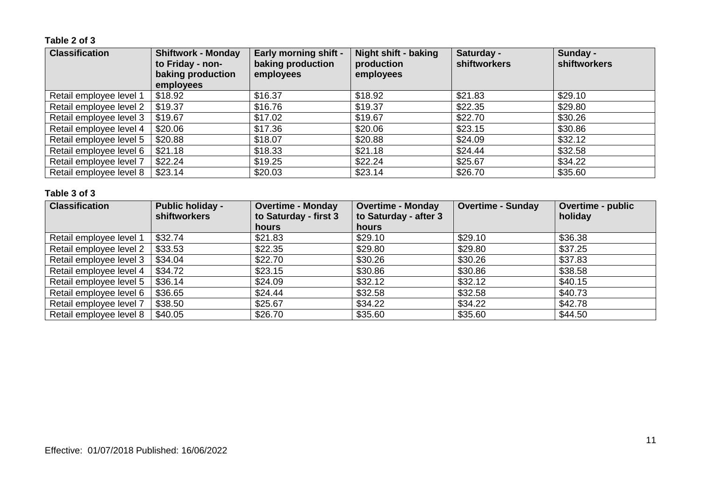#### **Table 2 of 3**

| <b>Classification</b>   | <b>Shiftwork - Monday</b><br>to Friday - non-<br>baking production<br>employees | <b>Early morning shift -</b><br>baking production<br>employees | Night shift - baking<br>production<br>employees | Saturday -<br><b>shiftworkers</b> | Sunday -<br><b>shiftworkers</b> |
|-------------------------|---------------------------------------------------------------------------------|----------------------------------------------------------------|-------------------------------------------------|-----------------------------------|---------------------------------|
| Retail employee level 1 | \$18.92                                                                         | \$16.37                                                        | \$18.92                                         | \$21.83                           | \$29.10                         |
| Retail employee level 2 | \$19.37                                                                         | \$16.76                                                        | \$19.37                                         | \$22.35                           | \$29.80                         |
| Retail employee level 3 | \$19.67                                                                         | \$17.02                                                        | \$19.67                                         | \$22.70                           | \$30.26                         |
| Retail employee level 4 | \$20.06                                                                         | \$17.36                                                        | \$20.06                                         | \$23.15                           | \$30.86                         |
| Retail employee level 5 | \$20.88                                                                         | \$18.07                                                        | \$20.88                                         | \$24.09                           | \$32.12                         |
| Retail employee level 6 | \$21.18                                                                         | \$18.33                                                        | \$21.18                                         | \$24.44                           | \$32.58                         |
| Retail employee level 7 | \$22.24                                                                         | \$19.25                                                        | \$22.24                                         | \$25.67                           | \$34.22                         |
| Retail employee level 8 | \$23.14                                                                         | \$20.03                                                        | \$23.14                                         | \$26.70                           | \$35.60                         |

| <b>Classification</b>   | <b>Public holiday -</b><br><b>shiftworkers</b> | <b>Overtime - Monday</b><br>to Saturday - first 3 | <b>Overtime - Monday</b><br>to Saturday - after 3 | <b>Overtime - Sunday</b> | <b>Overtime - public</b><br>holiday |
|-------------------------|------------------------------------------------|---------------------------------------------------|---------------------------------------------------|--------------------------|-------------------------------------|
|                         |                                                | hours                                             | hours                                             |                          |                                     |
| Retail employee level 1 | \$32.74                                        | \$21.83                                           | \$29.10                                           | \$29.10                  | \$36.38                             |
| Retail employee level 2 | \$33.53                                        | \$22.35                                           | \$29.80                                           | \$29.80                  | \$37.25                             |
| Retail employee level 3 | \$34.04                                        | \$22.70                                           | \$30.26                                           | \$30.26                  | \$37.83                             |
| Retail employee level 4 | \$34.72                                        | \$23.15                                           | \$30.86                                           | \$30.86                  | \$38.58                             |
| Retail employee level 5 | \$36.14                                        | \$24.09                                           | \$32.12                                           | \$32.12                  | \$40.15                             |
| Retail employee level 6 | \$36.65                                        | \$24.44                                           | \$32.58                                           | \$32.58                  | \$40.73                             |
| Retail employee level 7 | \$38.50                                        | \$25.67                                           | \$34.22                                           | \$34.22                  | \$42.78                             |
| Retail employee level 8 | \$40.05                                        | \$26.70                                           | \$35.60                                           | \$35.60                  | \$44.50                             |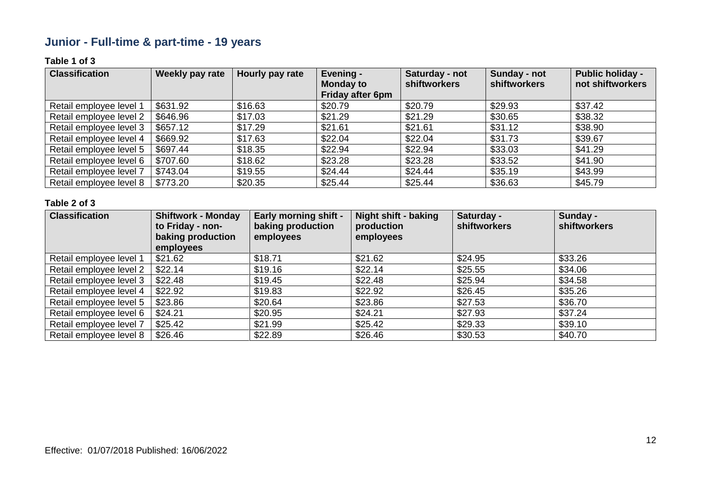# **Junior - Full-time & part-time - 19 years**

#### **Table 1 of 3**

| <b>Classification</b>   | Weekly pay rate | Hourly pay rate | Evening -<br><b>Monday to</b><br>Friday after 6pm | Saturday - not<br><b>shiftworkers</b> | Sunday - not<br>shiftworkers | <b>Public holiday -</b><br>not shiftworkers |
|-------------------------|-----------------|-----------------|---------------------------------------------------|---------------------------------------|------------------------------|---------------------------------------------|
| Retail employee level 1 | \$631.92        | \$16.63         | \$20.79                                           | \$20.79                               | \$29.93                      | \$37.42                                     |
| Retail employee level 2 | \$646.96        | \$17.03         | \$21.29                                           | \$21.29                               | \$30.65                      | \$38.32                                     |
| Retail employee level 3 | \$657.12        | \$17.29         | \$21.61                                           | \$21.61                               | \$31.12                      | \$38.90                                     |
| Retail employee level 4 | \$669.92        | \$17.63         | \$22.04                                           | \$22.04                               | \$31.73                      | \$39.67                                     |
| Retail employee level 5 | \$697.44        | \$18.35         | \$22.94                                           | \$22.94                               | \$33.03                      | \$41.29                                     |
| Retail employee level 6 | \$707.60        | \$18.62         | \$23.28                                           | \$23.28                               | \$33.52                      | \$41.90                                     |
| Retail employee level 7 | \$743.04        | \$19.55         | \$24.44                                           | \$24.44                               | \$35.19                      | \$43.99                                     |
| Retail employee level 8 | \$773.20        | \$20.35         | \$25.44                                           | \$25.44                               | \$36.63                      | \$45.79                                     |

| <b>Classification</b>   | <b>Shiftwork - Monday</b><br>to Friday - non-<br>baking production | <b>Early morning shift -</b><br>baking production<br>employees | <b>Night shift - baking</b><br>production<br>employees | Saturday -<br>shiftworkers | Sunday -<br>shiftworkers |
|-------------------------|--------------------------------------------------------------------|----------------------------------------------------------------|--------------------------------------------------------|----------------------------|--------------------------|
|                         | employees                                                          |                                                                |                                                        |                            |                          |
| Retail employee level 1 | \$21.62                                                            | \$18.71                                                        | \$21.62                                                | \$24.95                    | \$33.26                  |
| Retail employee level 2 | \$22.14                                                            | \$19.16                                                        | \$22.14                                                | \$25.55                    | \$34.06                  |
| Retail employee level 3 | \$22.48                                                            | \$19.45                                                        | \$22.48                                                | \$25.94                    | \$34.58                  |
| Retail employee level 4 | \$22.92                                                            | \$19.83                                                        | \$22.92                                                | \$26.45                    | \$35.26                  |
| Retail employee level 5 | \$23.86                                                            | \$20.64                                                        | \$23.86                                                | \$27.53                    | \$36.70                  |
| Retail employee level 6 | \$24.21                                                            | \$20.95                                                        | \$24.21                                                | \$27.93                    | \$37.24                  |
| Retail employee level 7 | \$25.42                                                            | \$21.99                                                        | \$25.42                                                | \$29.33                    | \$39.10                  |
| Retail employee level 8 | \$26.46                                                            | \$22.89                                                        | \$26.46                                                | \$30.53                    | \$40.70                  |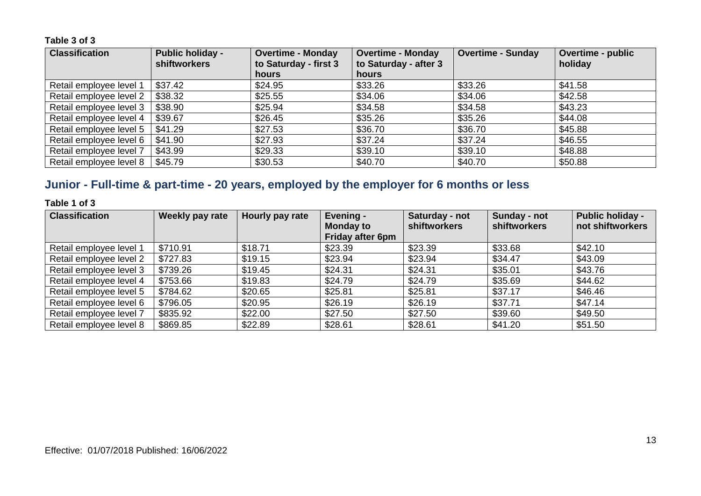| <b>Classification</b>   | <b>Public holiday -</b><br><b>shiftworkers</b> | <b>Overtime - Monday</b><br>to Saturday - first 3 | <b>Overtime - Monday</b><br>to Saturday - after 3 | <b>Overtime - Sunday</b> | <b>Overtime - public</b><br>holiday |
|-------------------------|------------------------------------------------|---------------------------------------------------|---------------------------------------------------|--------------------------|-------------------------------------|
|                         |                                                | hours                                             | hours                                             |                          |                                     |
| Retail employee level 1 | \$37.42                                        | \$24.95                                           | \$33.26                                           | \$33.26                  | \$41.58                             |
| Retail employee level 2 | \$38.32                                        | \$25.55                                           | \$34.06                                           | \$34.06                  | \$42.58                             |
| Retail employee level 3 | \$38.90                                        | \$25.94                                           | \$34.58                                           | \$34.58                  | \$43.23                             |
| Retail employee level 4 | \$39.67                                        | \$26.45                                           | \$35.26                                           | \$35.26                  | \$44.08                             |
| Retail employee level 5 | \$41.29                                        | \$27.53                                           | \$36.70                                           | \$36.70                  | \$45.88                             |
| Retail employee level 6 | \$41.90                                        | \$27.93                                           | \$37.24                                           | \$37.24                  | \$46.55                             |
| Retail employee level 7 | \$43.99                                        | \$29.33                                           | \$39.10                                           | \$39.10                  | \$48.88                             |
| Retail employee level 8 | \$45.79                                        | \$30.53                                           | \$40.70                                           | \$40.70                  | \$50.88                             |

### **Junior - Full-time & part-time - 20 years, employed by the employer for 6 months or less**

#### **Table 1 of 3**

| <b>Classification</b>   | Weekly pay rate | Hourly pay rate | Evening -<br><b>Monday to</b><br><b>Friday after 6pm</b> | Saturday - not<br><b>shiftworkers</b> | Sunday - not<br>shiftworkers | <b>Public holiday -</b><br>not shiftworkers |
|-------------------------|-----------------|-----------------|----------------------------------------------------------|---------------------------------------|------------------------------|---------------------------------------------|
| Retail employee level 1 | \$710.91        | \$18.71         | \$23.39                                                  | \$23.39                               | \$33.68                      | \$42.10                                     |
| Retail employee level 2 | \$727.83        | \$19.15         | \$23.94                                                  | \$23.94                               | \$34.47                      | \$43.09                                     |
| Retail employee level 3 | \$739.26        | \$19.45         | \$24.31                                                  | \$24.31                               | \$35.01                      | \$43.76                                     |
| Retail employee level 4 | \$753.66        | \$19.83         | \$24.79                                                  | \$24.79                               | \$35.69                      | \$44.62                                     |
| Retail employee level 5 | \$784.62        | \$20.65         | \$25.81                                                  | \$25.81                               | \$37.17                      | \$46.46                                     |
| Retail employee level 6 | \$796.05        | \$20.95         | \$26.19                                                  | \$26.19                               | \$37.71                      | \$47.14                                     |
| Retail employee level 7 | \$835.92        | \$22.00         | \$27.50                                                  | \$27.50                               | \$39.60                      | \$49.50                                     |
| Retail employee level 8 | \$869.85        | \$22.89         | \$28.61                                                  | \$28.61                               | \$41.20                      | \$51.50                                     |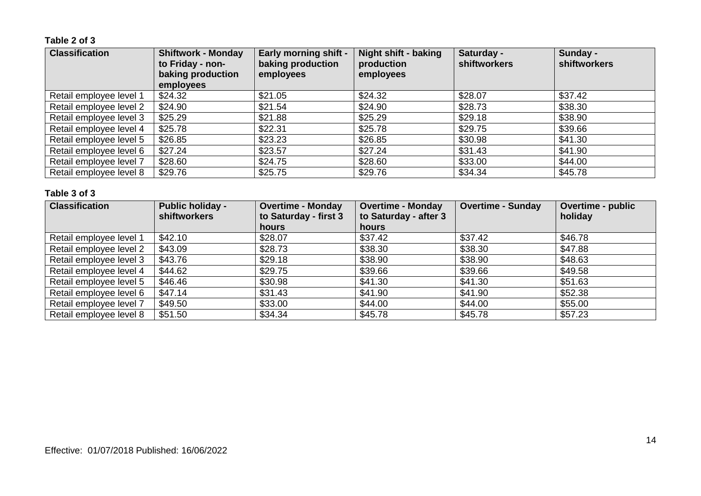#### **Table 2 of 3**

| <b>Classification</b>   | <b>Shiftwork - Monday</b><br>to Friday - non-<br>baking production<br>employees | <b>Early morning shift -</b><br>baking production<br>employees | Night shift - baking<br>production<br>employees | Saturday -<br><b>shiftworkers</b> | Sunday -<br>shiftworkers |
|-------------------------|---------------------------------------------------------------------------------|----------------------------------------------------------------|-------------------------------------------------|-----------------------------------|--------------------------|
| Retail employee level 1 | \$24.32                                                                         | \$21.05                                                        | \$24.32                                         | \$28.07                           | \$37.42                  |
| Retail employee level 2 | \$24.90                                                                         | \$21.54                                                        | \$24.90                                         | \$28.73                           | \$38.30                  |
| Retail employee level 3 | \$25.29                                                                         | \$21.88                                                        | \$25.29                                         | \$29.18                           | \$38.90                  |
| Retail employee level 4 | \$25.78                                                                         | \$22.31                                                        | \$25.78                                         | \$29.75                           | \$39.66                  |
| Retail employee level 5 | \$26.85                                                                         | \$23.23                                                        | \$26.85                                         | \$30.98                           | \$41.30                  |
| Retail employee level 6 | \$27.24                                                                         | \$23.57                                                        | \$27.24                                         | \$31.43                           | \$41.90                  |
| Retail employee level 7 | \$28.60                                                                         | \$24.75                                                        | \$28.60                                         | \$33.00                           | \$44.00                  |
| Retail employee level 8 | \$29.76                                                                         | \$25.75                                                        | \$29.76                                         | \$34.34                           | \$45.78                  |

| <b>Classification</b>   | <b>Public holiday -</b><br>shiftworkers | <b>Overtime - Monday</b><br>to Saturday - first 3 | <b>Overtime - Sunday</b><br><b>Overtime - Monday</b><br>to Saturday - after 3 |         | <b>Overtime - public</b><br>holiday |
|-------------------------|-----------------------------------------|---------------------------------------------------|-------------------------------------------------------------------------------|---------|-------------------------------------|
|                         |                                         | hours                                             | <b>hours</b>                                                                  |         |                                     |
| Retail employee level 1 | \$42.10                                 | \$28.07                                           | \$37.42                                                                       | \$37.42 | \$46.78                             |
| Retail employee level 2 | \$43.09                                 | \$28.73                                           | \$38.30                                                                       | \$38.30 | \$47.88                             |
| Retail employee level 3 | \$43.76                                 | \$29.18                                           | \$38.90                                                                       | \$38.90 | \$48.63                             |
| Retail employee level 4 | \$44.62                                 | \$29.75                                           | \$39.66                                                                       | \$39.66 | \$49.58                             |
| Retail employee level 5 | \$46.46                                 | \$30.98                                           | \$41.30                                                                       | \$41.30 | \$51.63                             |
| Retail employee level 6 | \$47.14                                 | \$31.43                                           | \$41.90                                                                       | \$41.90 | \$52.38                             |
| Retail employee level 7 | \$49.50                                 | \$33.00                                           | \$44.00                                                                       | \$44.00 | \$55.00                             |
| Retail employee level 8 | \$51.50                                 | \$34.34                                           | \$45.78                                                                       | \$45.78 | \$57.23                             |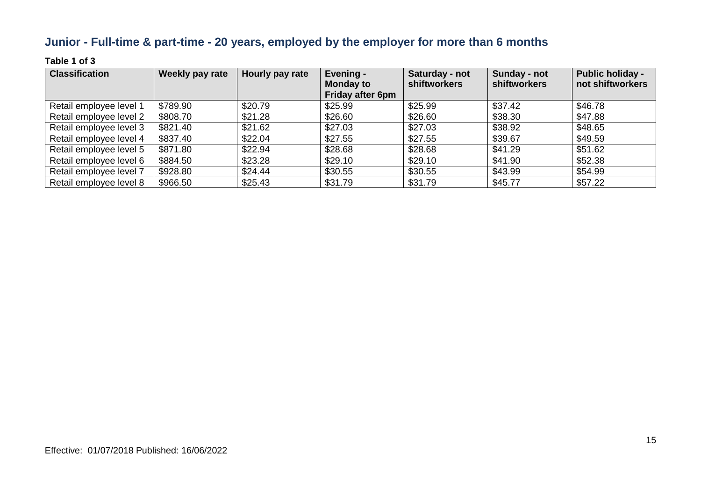# **Junior - Full-time & part-time - 20 years, employed by the employer for more than 6 months**

#### **Table 1 of 3**

| <b>Classification</b>   | Weekly pay rate | Hourly pay rate | Evening -<br><b>Monday to</b><br>Friday after 6pm | Saturday - not<br><b>shiftworkers</b> | Sunday - not<br>shiftworkers | <b>Public holiday -</b><br>not shiftworkers |
|-------------------------|-----------------|-----------------|---------------------------------------------------|---------------------------------------|------------------------------|---------------------------------------------|
| Retail employee level 1 | \$789.90        | \$20.79         | \$25.99                                           | \$25.99                               | \$37.42                      | \$46.78                                     |
| Retail employee level 2 | \$808.70        | \$21.28         | \$26.60                                           | \$26.60                               | \$38.30                      | \$47.88                                     |
| Retail employee level 3 | \$821.40        | \$21.62         | \$27.03                                           | \$27.03                               | \$38.92                      | \$48.65                                     |
| Retail employee level 4 | \$837.40        | \$22.04         | \$27.55                                           | \$27.55                               | \$39.67                      | \$49.59                                     |
| Retail employee level 5 | \$871.80        | \$22.94         | \$28.68                                           | \$28.68                               | \$41.29                      | \$51.62                                     |
| Retail employee level 6 | \$884.50        | \$23.28         | \$29.10                                           | \$29.10                               | \$41.90                      | \$52.38                                     |
| Retail employee level 7 | \$928.80        | \$24.44         | \$30.55                                           | \$30.55                               | \$43.99                      | \$54.99                                     |
| Retail employee level 8 | \$966.50        | \$25.43         | \$31.79                                           | \$31.79                               | \$45.77                      | \$57.22                                     |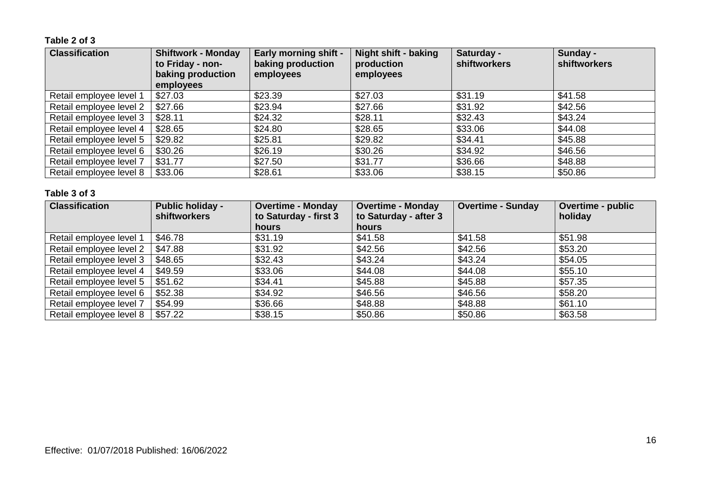#### **Table 2 of 3**

| <b>Classification</b>   | <b>Shiftwork - Monday</b><br>to Friday - non-<br>baking production<br>employees | <b>Early morning shift -</b><br>baking production<br>employees | Night shift - baking<br>production<br>employees | Saturday -<br><b>shiftworkers</b> | Sunday -<br><b>shiftworkers</b> |
|-------------------------|---------------------------------------------------------------------------------|----------------------------------------------------------------|-------------------------------------------------|-----------------------------------|---------------------------------|
| Retail employee level 1 | \$27.03                                                                         | \$23.39                                                        | \$27.03                                         | \$31.19                           | \$41.58                         |
| Retail employee level 2 | \$27.66                                                                         | \$23.94                                                        | \$27.66                                         | \$31.92                           | \$42.56                         |
| Retail employee level 3 | \$28.11                                                                         | \$24.32                                                        | \$28.11                                         | \$32.43                           | \$43.24                         |
| Retail employee level 4 | \$28.65                                                                         | \$24.80                                                        | \$28.65                                         | \$33.06                           | \$44.08                         |
| Retail employee level 5 | \$29.82                                                                         | \$25.81                                                        | \$29.82                                         | \$34.41                           | \$45.88                         |
| Retail employee level 6 | \$30.26                                                                         | \$26.19                                                        | \$30.26                                         | \$34.92                           | \$46.56                         |
| Retail employee level 7 | \$31.77                                                                         | \$27.50                                                        | \$31.77                                         | \$36.66                           | \$48.88                         |
| Retail employee level 8 | \$33.06                                                                         | \$28.61                                                        | \$33.06                                         | \$38.15                           | \$50.86                         |

| <b>Classification</b>   | <b>Public holiday -</b><br><b>shiftworkers</b> | <b>Overtime - Monday</b><br>to Saturday - first 3 | <b>Overtime - Monday</b><br>to Saturday - after 3 | <b>Overtime - Sunday</b> | <b>Overtime - public</b><br>holiday |
|-------------------------|------------------------------------------------|---------------------------------------------------|---------------------------------------------------|--------------------------|-------------------------------------|
|                         |                                                | hours                                             | hours                                             |                          |                                     |
| Retail employee level 1 | \$46.78                                        | \$31.19                                           | \$41.58                                           | \$41.58                  | \$51.98                             |
| Retail employee level 2 | \$47.88                                        | \$31.92                                           | \$42.56                                           | \$42.56                  | \$53.20                             |
| Retail employee level 3 | \$48.65                                        | \$32.43                                           | \$43.24                                           | \$43.24                  | \$54.05                             |
| Retail employee level 4 | \$49.59                                        | \$33.06                                           | \$44.08                                           | \$44.08                  | \$55.10                             |
| Retail employee level 5 | \$51.62                                        | \$34.41                                           | \$45.88                                           | \$45.88                  | \$57.35                             |
| Retail employee level 6 | \$52.38                                        | \$34.92                                           | \$46.56                                           | \$46.56                  | \$58.20                             |
| Retail employee level 7 | \$54.99                                        | \$36.66                                           | \$48.88                                           | \$48.88                  | \$61.10                             |
| Retail employee level 8 | \$57.22                                        | \$38.15                                           | \$50.86                                           | \$50.86                  | \$63.58                             |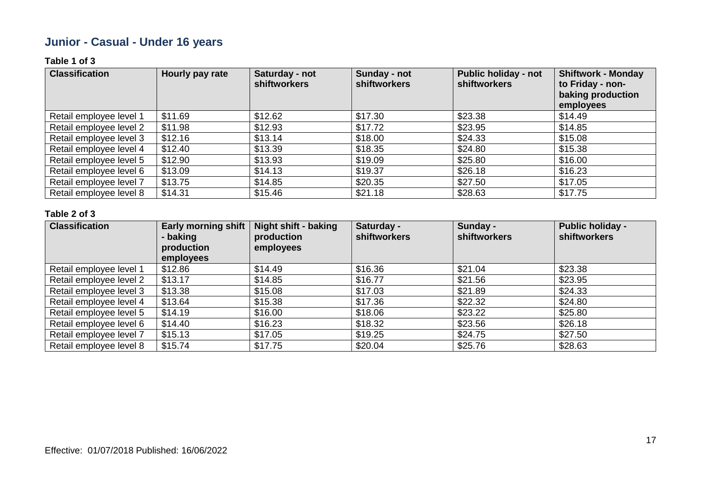# **Junior - Casual - Under 16 years**

#### **Table 1 of 3**

| <b>Classification</b>   | Hourly pay rate | Saturday - not<br>shiftworkers | Sunday - not<br><b>shiftworkers</b> | <b>Public holiday - not</b><br><b>shiftworkers</b> | <b>Shiftwork - Monday</b><br>to Friday - non-<br>baking production<br>employees |
|-------------------------|-----------------|--------------------------------|-------------------------------------|----------------------------------------------------|---------------------------------------------------------------------------------|
| Retail employee level 1 | \$11.69         | \$12.62                        | \$17.30                             | \$23.38                                            | \$14.49                                                                         |
| Retail employee level 2 | \$11.98         | \$12.93                        | \$17.72                             | \$23.95                                            | \$14.85                                                                         |
| Retail employee level 3 | \$12.16         | \$13.14                        | \$18.00                             | \$24.33                                            | \$15.08                                                                         |
| Retail employee level 4 | \$12.40         | \$13.39                        | \$18.35                             | \$24.80                                            | \$15.38                                                                         |
| Retail employee level 5 | \$12.90         | \$13.93                        | \$19.09                             | \$25.80                                            | \$16.00                                                                         |
| Retail employee level 6 | \$13.09         | \$14.13                        | \$19.37                             | \$26.18                                            | \$16.23                                                                         |
| Retail employee level 7 | \$13.75         | \$14.85                        | \$20.35                             | \$27.50                                            | \$17.05                                                                         |
| Retail employee level 8 | \$14.31         | \$15.46                        | \$21.18                             | \$28.63                                            | \$17.75                                                                         |

| <b>Classification</b>   | <b>Early morning shift</b><br>- baking<br>production<br>employees | <b>Night shift - baking</b><br>production<br>employees | Saturday -<br><b>shiftworkers</b> | Sunday -<br>shiftworkers | <b>Public holiday -</b><br>shiftworkers |
|-------------------------|-------------------------------------------------------------------|--------------------------------------------------------|-----------------------------------|--------------------------|-----------------------------------------|
| Retail employee level 1 | \$12.86                                                           | \$14.49                                                | \$16.36                           | \$21.04                  | \$23.38                                 |
| Retail employee level 2 | \$13.17                                                           | \$14.85                                                | \$16.77                           | \$21.56                  | \$23.95                                 |
| Retail employee level 3 | \$13.38                                                           | \$15.08                                                | \$17.03                           | \$21.89                  | \$24.33                                 |
| Retail employee level 4 | \$13.64                                                           | \$15.38                                                | \$17.36                           | \$22.32                  | \$24.80                                 |
| Retail employee level 5 | \$14.19                                                           | \$16.00                                                | \$18.06                           | \$23.22                  | \$25.80                                 |
| Retail employee level 6 | \$14.40                                                           | \$16.23                                                | \$18.32                           | \$23.56                  | \$26.18                                 |
| Retail employee level 7 | \$15.13                                                           | \$17.05                                                | \$19.25                           | \$24.75                  | \$27.50                                 |
| Retail employee level 8 | \$15.74                                                           | \$17.75                                                | \$20.04                           | \$25.76                  | \$28.63                                 |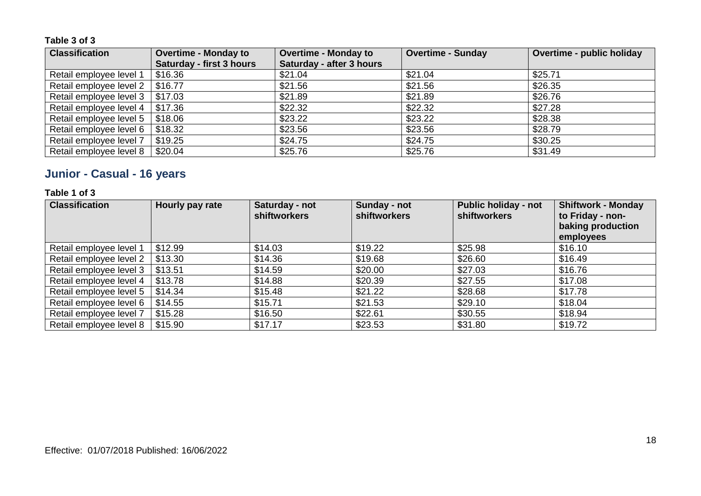| <b>Classification</b>   | <b>Overtime - Monday to</b>     | <b>Overtime - Monday to</b> | <b>Overtime - Sunday</b> | <b>Overtime - public holiday</b> |
|-------------------------|---------------------------------|-----------------------------|--------------------------|----------------------------------|
|                         | <b>Saturday - first 3 hours</b> | Saturday - after 3 hours    |                          |                                  |
| Retail employee level 1 | \$16.36                         | \$21.04                     | \$21.04                  | \$25.71                          |
| Retail employee level 2 | \$16.77                         | \$21.56                     | \$21.56                  | \$26.35                          |
| Retail employee level 3 | \$17.03                         | \$21.89                     | \$21.89                  | \$26.76                          |
| Retail employee level 4 | \$17.36                         | \$22.32                     | \$22.32                  | \$27.28                          |
| Retail employee level 5 | \$18.06                         | \$23.22                     | \$23.22                  | \$28.38                          |
| Retail employee level 6 | \$18.32                         | \$23.56                     | \$23.56                  | \$28.79                          |
| Retail employee level 7 | \$19.25                         | \$24.75                     | \$24.75                  | \$30.25                          |
| Retail employee level 8 | \$20.04                         | \$25.76                     | \$25.76                  | \$31.49                          |

# **Junior - Casual - 16 years**

#### **Table 1 of 3**

| <b>Classification</b>   | Hourly pay rate | Saturday - not<br><b>shiftworkers</b> | Sunday - not<br><b>shiftworkers</b> | <b>Public holiday - not</b><br><b>shiftworkers</b> | <b>Shiftwork - Monday</b><br>to Friday - non-<br>baking production<br>employees |
|-------------------------|-----------------|---------------------------------------|-------------------------------------|----------------------------------------------------|---------------------------------------------------------------------------------|
| Retail employee level 1 | \$12.99         | \$14.03                               | \$19.22                             | \$25.98                                            | \$16.10                                                                         |
| Retail employee level 2 | \$13.30         | \$14.36                               | \$19.68                             | \$26.60                                            | \$16.49                                                                         |
| Retail employee level 3 | \$13.51         | \$14.59                               | \$20.00                             | \$27.03                                            | \$16.76                                                                         |
| Retail employee level 4 | \$13.78         | \$14.88                               | \$20.39                             | \$27.55                                            | \$17.08                                                                         |
| Retail employee level 5 | \$14.34         | \$15.48                               | \$21.22                             | \$28.68                                            | \$17.78                                                                         |
| Retail employee level 6 | \$14.55         | \$15.71                               | \$21.53                             | \$29.10                                            | \$18.04                                                                         |
| Retail employee level 7 | \$15.28         | \$16.50                               | \$22.61                             | \$30.55                                            | \$18.94                                                                         |
| Retail employee level 8 | \$15.90         | \$17.17                               | \$23.53                             | \$31.80                                            | \$19.72                                                                         |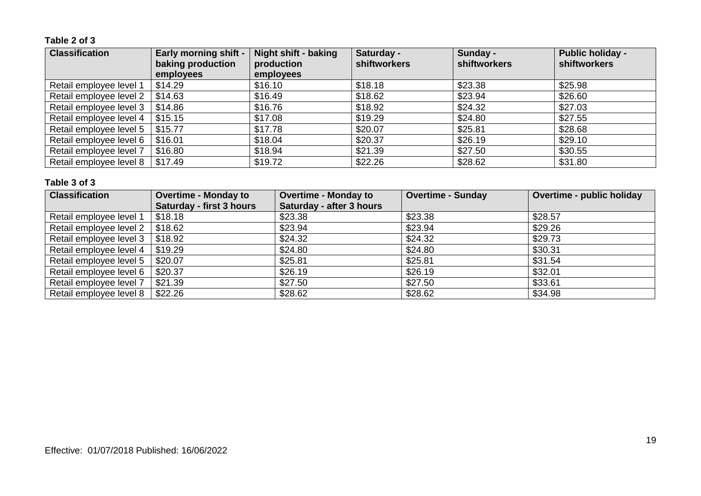#### **Table 2 of 3**

| <b>Classification</b>   | <b>Early morning shift -</b><br>baking production<br>employees | <b>Night shift - baking</b><br>production<br>employees | Saturday -<br>shiftworkers | Sunday -<br><b>shiftworkers</b> | <b>Public holiday -</b><br><b>shiftworkers</b> |
|-------------------------|----------------------------------------------------------------|--------------------------------------------------------|----------------------------|---------------------------------|------------------------------------------------|
| Retail employee level 1 | \$14.29                                                        | \$16.10                                                | \$18.18                    | \$23.38                         | \$25.98                                        |
| Retail employee level 2 | \$14.63                                                        | \$16.49                                                | \$18.62                    | \$23.94                         | \$26.60                                        |
| Retail employee level 3 | \$14.86                                                        | \$16.76                                                | \$18.92                    | \$24.32                         | \$27.03                                        |
| Retail employee level 4 | \$15.15                                                        | \$17.08                                                | \$19.29                    | \$24.80                         | \$27.55                                        |
| Retail employee level 5 | \$15.77                                                        | \$17.78                                                | \$20.07                    | \$25.81                         | \$28.68                                        |
| Retail employee level 6 | \$16.01                                                        | \$18.04                                                | \$20.37                    | \$26.19                         | \$29.10                                        |
| Retail employee level 7 | \$16.80                                                        | \$18.94                                                | \$21.39                    | \$27.50                         | \$30.55                                        |
| Retail employee level 8 | \$17.49                                                        | \$19.72                                                | \$22.26                    | \$28.62                         | \$31.80                                        |

| <b>Classification</b>   | <b>Overtime - Monday to</b>     | <b>Overtime - Monday to</b> | <b>Overtime - Sunday</b> | <b>Overtime - public holiday</b> |
|-------------------------|---------------------------------|-----------------------------|--------------------------|----------------------------------|
|                         | <b>Saturday - first 3 hours</b> | Saturday - after 3 hours    |                          |                                  |
| Retail employee level 1 | \$18.18                         | \$23.38                     | \$23.38                  | \$28.57                          |
| Retail employee level 2 | \$18.62                         | \$23.94                     | \$23.94                  | \$29.26                          |
| Retail employee level 3 | \$18.92                         | \$24.32                     | \$24.32                  | \$29.73                          |
| Retail employee level 4 | \$19.29                         | \$24.80                     | \$24.80                  | \$30.31                          |
| Retail employee level 5 | \$20.07                         | \$25.81                     | \$25.81                  | \$31.54                          |
| Retail employee level 6 | \$20.37                         | \$26.19                     | \$26.19                  | \$32.01                          |
| Retail employee level 7 | \$21.39                         | \$27.50                     | \$27.50                  | \$33.61                          |
| Retail employee level 8 | \$22.26                         | \$28.62                     | \$28.62                  | \$34.98                          |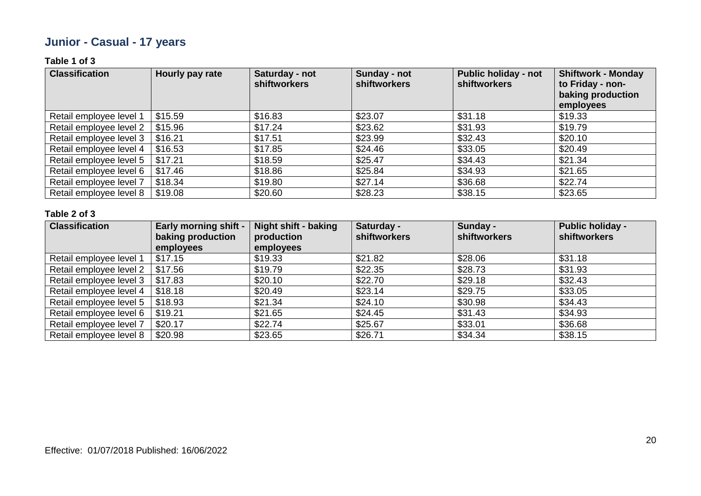# **Junior - Casual - 17 years**

#### **Table 1 of 3**

| <b>Classification</b>   | Hourly pay rate | Saturday - not<br><b>shiftworkers</b> | Sunday - not<br><b>shiftworkers</b> | <b>Public holiday - not</b><br><b>shiftworkers</b> | <b>Shiftwork - Monday</b><br>to Friday - non-<br>baking production<br>employees |
|-------------------------|-----------------|---------------------------------------|-------------------------------------|----------------------------------------------------|---------------------------------------------------------------------------------|
| Retail employee level 1 | \$15.59         | \$16.83                               | \$23.07                             | \$31.18                                            | \$19.33                                                                         |
| Retail employee level 2 | \$15.96         | \$17.24                               | \$23.62                             | \$31.93                                            | \$19.79                                                                         |
| Retail employee level 3 | \$16.21         | \$17.51                               | \$23.99                             | \$32.43                                            | \$20.10                                                                         |
| Retail employee level 4 | \$16.53         | \$17.85                               | \$24.46                             | \$33.05                                            | \$20.49                                                                         |
| Retail employee level 5 | \$17.21         | \$18.59                               | \$25.47                             | \$34.43                                            | \$21.34                                                                         |
| Retail employee level 6 | \$17.46         | \$18.86                               | \$25.84                             | \$34.93                                            | \$21.65                                                                         |
| Retail employee level 7 | \$18.34         | \$19.80                               | \$27.14                             | \$36.68                                            | \$22.74                                                                         |
| Retail employee level 8 | \$19.08         | \$20.60                               | \$28.23                             | \$38.15                                            | \$23.65                                                                         |

| <b>Classification</b>   | <b>Early morning shift -</b><br>baking production | <b>Night shift - baking</b><br>production | Saturday -<br><b>shiftworkers</b> | Sunday -<br><b>shiftworkers</b> | <b>Public holiday -</b><br>shiftworkers |
|-------------------------|---------------------------------------------------|-------------------------------------------|-----------------------------------|---------------------------------|-----------------------------------------|
|                         | employees                                         | employees                                 |                                   |                                 |                                         |
| Retail employee level 1 | \$17.15                                           | \$19.33                                   | \$21.82                           | \$28.06                         | \$31.18                                 |
| Retail employee level 2 | \$17.56                                           | \$19.79                                   | \$22.35                           | \$28.73                         | \$31.93                                 |
| Retail employee level 3 | \$17.83                                           | \$20.10                                   | \$22.70                           | \$29.18                         | \$32.43                                 |
| Retail employee level 4 | \$18.18                                           | \$20.49                                   | \$23.14                           | \$29.75                         | \$33.05                                 |
| Retail employee level 5 | \$18.93                                           | \$21.34                                   | \$24.10                           | \$30.98                         | \$34.43                                 |
| Retail employee level 6 | \$19.21                                           | \$21.65                                   | \$24.45                           | \$31.43                         | \$34.93                                 |
| Retail employee level 7 | \$20.17                                           | \$22.74                                   | \$25.67                           | \$33.01                         | \$36.68                                 |
| Retail employee level 8 | \$20.98                                           | \$23.65                                   | \$26.71                           | \$34.34                         | \$38.15                                 |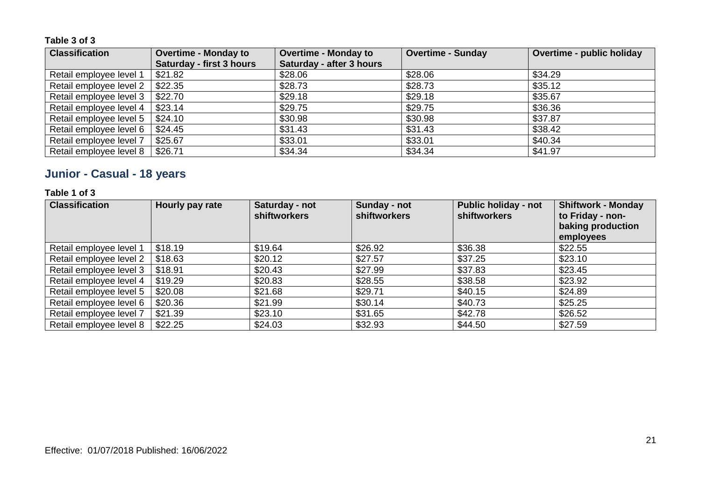| <b>Classification</b>   | <b>Overtime - Monday to</b> | <b>Overtime - Monday to</b> | <b>Overtime - Sunday</b> | <b>Overtime - public holiday</b> |
|-------------------------|-----------------------------|-----------------------------|--------------------------|----------------------------------|
|                         | Saturday - first 3 hours    | Saturday - after 3 hours    |                          |                                  |
| Retail employee level 1 | \$21.82                     | \$28.06                     | \$28.06                  | \$34.29                          |
| Retail employee level 2 | \$22.35                     | \$28.73                     | \$28.73                  | \$35.12                          |
| Retail employee level 3 | \$22.70                     | \$29.18                     | \$29.18                  | \$35.67                          |
| Retail employee level 4 | \$23.14                     | \$29.75                     | \$29.75                  | \$36.36                          |
| Retail employee level 5 | \$24.10                     | \$30.98                     | \$30.98                  | \$37.87                          |
| Retail employee level 6 | \$24.45                     | \$31.43                     | \$31.43                  | \$38.42                          |
| Retail employee level 7 | \$25.67                     | \$33.01                     | \$33.01                  | \$40.34                          |
| Retail employee level 8 | \$26.71                     | \$34.34                     | \$34.34                  | \$41.97                          |

# **Junior - Casual - 18 years**

#### **Table 1 of 3**

| <b>Classification</b>   | Hourly pay rate | Saturday - not<br><b>shiftworkers</b> | Sunday - not<br><b>shiftworkers</b> | <b>Public holiday - not</b><br><b>shiftworkers</b> | <b>Shiftwork - Monday</b><br>to Friday - non-<br>baking production<br>employees |
|-------------------------|-----------------|---------------------------------------|-------------------------------------|----------------------------------------------------|---------------------------------------------------------------------------------|
| Retail employee level 1 | \$18.19         | \$19.64                               | \$26.92                             | \$36.38                                            | \$22.55                                                                         |
| Retail employee level 2 | \$18.63         | \$20.12                               | \$27.57                             | \$37.25                                            | \$23.10                                                                         |
| Retail employee level 3 | \$18.91         | \$20.43                               | \$27.99                             | \$37.83                                            | \$23.45                                                                         |
| Retail employee level 4 | \$19.29         | \$20.83                               | \$28.55                             | \$38.58                                            | \$23.92                                                                         |
| Retail employee level 5 | \$20.08         | \$21.68                               | \$29.71                             | \$40.15                                            | \$24.89                                                                         |
| Retail employee level 6 | \$20.36         | \$21.99                               | \$30.14                             | \$40.73                                            | \$25.25                                                                         |
| Retail employee level 7 | \$21.39         | \$23.10                               | \$31.65                             | \$42.78                                            | \$26.52                                                                         |
| Retail employee level 8 | \$22.25         | \$24.03                               | \$32.93                             | \$44.50                                            | \$27.59                                                                         |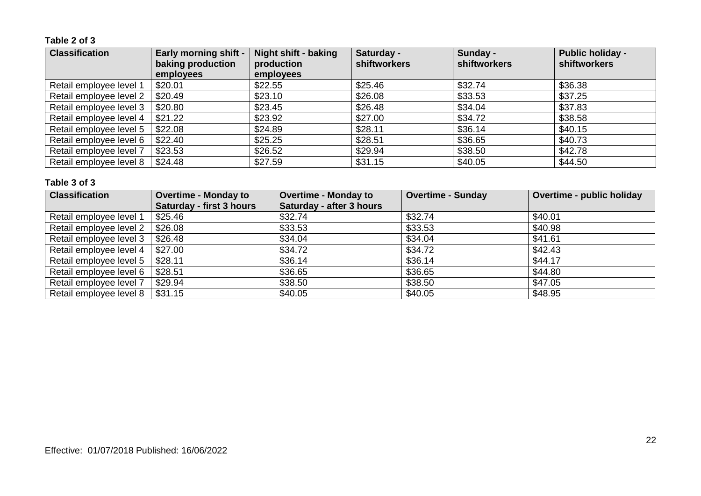#### **Table 2 of 3**

| <b>Classification</b>   | <b>Early morning shift -</b><br>baking production<br>employees | <b>Night shift - baking</b><br>production<br>employees | Saturday -<br>shiftworkers | Sunday -<br>shiftworkers | <b>Public holiday -</b><br>shiftworkers |
|-------------------------|----------------------------------------------------------------|--------------------------------------------------------|----------------------------|--------------------------|-----------------------------------------|
| Retail employee level 1 | \$20.01                                                        | \$22.55                                                | \$25.46                    | \$32.74                  | \$36.38                                 |
| Retail employee level 2 | \$20.49                                                        | \$23.10                                                | \$26.08                    | \$33.53                  | \$37.25                                 |
| Retail employee level 3 | \$20.80                                                        | \$23.45                                                | \$26.48                    | \$34.04                  | \$37.83                                 |
| Retail employee level 4 | \$21.22                                                        | \$23.92                                                | \$27.00                    | \$34.72                  | \$38.58                                 |
| Retail employee level 5 | \$22.08                                                        | \$24.89                                                | \$28.11                    | \$36.14                  | \$40.15                                 |
| Retail employee level 6 | \$22.40                                                        | \$25.25                                                | \$28.51                    | \$36.65                  | \$40.73                                 |
| Retail employee level 7 | \$23.53                                                        | \$26.52                                                | \$29.94                    | \$38.50                  | \$42.78                                 |
| Retail employee level 8 | \$24.48                                                        | \$27.59                                                | \$31.15                    | \$40.05                  | \$44.50                                 |

| <b>Classification</b>   | <b>Overtime - Monday to</b>     | <b>Overtime - Monday to</b> | <b>Overtime - Sunday</b> | Overtime - public holiday |
|-------------------------|---------------------------------|-----------------------------|--------------------------|---------------------------|
|                         | <b>Saturday - first 3 hours</b> | Saturday - after 3 hours    |                          |                           |
| Retail employee level 1 | \$25.46                         | \$32.74                     | \$32.74                  | \$40.01                   |
| Retail employee level 2 | \$26.08                         | \$33.53                     | \$33.53                  | \$40.98                   |
| Retail employee level 3 | \$26.48                         | \$34.04                     | \$34.04                  | \$41.61                   |
| Retail employee level 4 | \$27.00                         | \$34.72                     | \$34.72                  | \$42.43                   |
| Retail employee level 5 | \$28.11                         | \$36.14                     | \$36.14                  | \$44.17                   |
| Retail employee level 6 | \$28.51                         | \$36.65                     | \$36.65                  | \$44.80                   |
| Retail employee level 7 | \$29.94                         | \$38.50                     | \$38.50                  | \$47.05                   |
| Retail employee level 8 | \$31.15                         | \$40.05                     | \$40.05                  | \$48.95                   |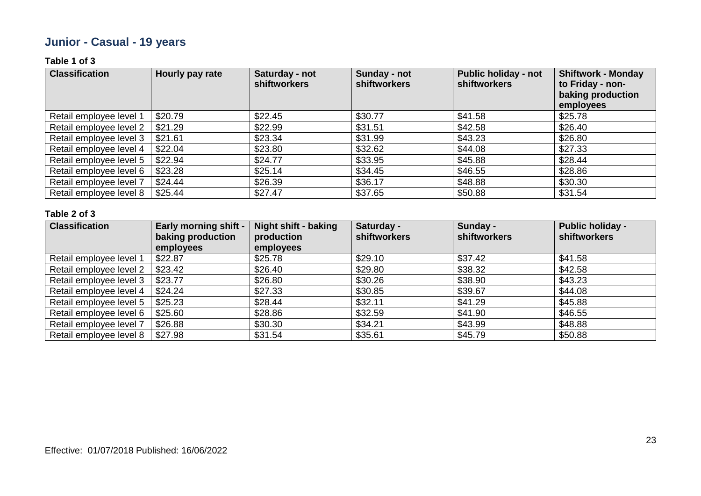# **Junior - Casual - 19 years**

#### **Table 1 of 3**

| <b>Classification</b>   | Hourly pay rate | Saturday - not<br><b>shiftworkers</b> | Sunday - not<br><b>shiftworkers</b> | <b>Public holiday - not</b><br><b>shiftworkers</b> | <b>Shiftwork - Monday</b><br>to Friday - non-<br>baking production<br>employees |
|-------------------------|-----------------|---------------------------------------|-------------------------------------|----------------------------------------------------|---------------------------------------------------------------------------------|
| Retail employee level 1 | \$20.79         | \$22.45                               | \$30.77                             | \$41.58                                            | \$25.78                                                                         |
| Retail employee level 2 | \$21.29         | \$22.99                               | \$31.51                             | \$42.58                                            | \$26.40                                                                         |
| Retail employee level 3 | \$21.61         | \$23.34                               | \$31.99                             | \$43.23                                            | \$26.80                                                                         |
| Retail employee level 4 | \$22.04         | \$23.80                               | \$32.62                             | \$44.08                                            | \$27.33                                                                         |
| Retail employee level 5 | \$22.94         | \$24.77                               | \$33.95                             | \$45.88                                            | \$28.44                                                                         |
| Retail employee level 6 | \$23.28         | \$25.14                               | \$34.45                             | \$46.55                                            | \$28.86                                                                         |
| Retail employee level 7 | \$24.44         | \$26.39                               | \$36.17                             | \$48.88                                            | \$30.30                                                                         |
| Retail employee level 8 | \$25.44         | \$27.47                               | \$37.65                             | \$50.88                                            | \$31.54                                                                         |

| <b>Classification</b>   | <b>Early morning shift -</b> | <b>Night shift - baking</b> | Saturday -          | Sunday -            | <b>Public holiday -</b> |
|-------------------------|------------------------------|-----------------------------|---------------------|---------------------|-------------------------|
|                         | baking production            | production                  | <b>shiftworkers</b> | <b>shiftworkers</b> | shiftworkers            |
|                         | employees                    | employees                   |                     |                     |                         |
| Retail employee level 1 | \$22.87                      | \$25.78                     | \$29.10             | \$37.42             | \$41.58                 |
| Retail employee level 2 | \$23.42                      | \$26.40                     | \$29.80             | \$38.32             | \$42.58                 |
| Retail employee level 3 | \$23.77                      | \$26.80                     | \$30.26             | \$38.90             | \$43.23                 |
| Retail employee level 4 | \$24.24                      | \$27.33                     | \$30.85             | \$39.67             | \$44.08                 |
| Retail employee level 5 | \$25.23                      | \$28.44                     | \$32.11             | \$41.29             | \$45.88                 |
| Retail employee level 6 | \$25.60                      | \$28.86                     | \$32.59             | \$41.90             | \$46.55                 |
| Retail employee level 7 | \$26.88                      | \$30.30                     | \$34.21             | \$43.99             | \$48.88                 |
| Retail employee level 8 | \$27.98                      | \$31.54                     | \$35.61             | \$45.79             | \$50.88                 |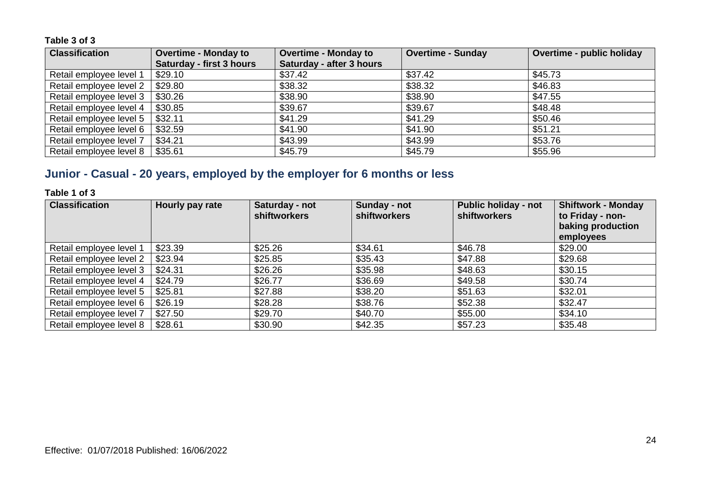| <b>Classification</b>   | <b>Overtime - Monday to</b>     | <b>Overtime - Monday to</b> | <b>Overtime - Sunday</b> | <b>Overtime - public holiday</b> |
|-------------------------|---------------------------------|-----------------------------|--------------------------|----------------------------------|
|                         | <b>Saturday - first 3 hours</b> | Saturday - after 3 hours    |                          |                                  |
| Retail employee level 1 | \$29.10                         | \$37.42                     | \$37.42                  | \$45.73                          |
| Retail employee level 2 | \$29.80                         | \$38.32                     | \$38.32                  | \$46.83                          |
| Retail employee level 3 | \$30.26                         | \$38.90                     | \$38.90                  | \$47.55                          |
| Retail employee level 4 | \$30.85                         | \$39.67                     | \$39.67                  | \$48.48                          |
| Retail employee level 5 | \$32.11                         | \$41.29                     | \$41.29                  | \$50.46                          |
| Retail employee level 6 | \$32.59                         | \$41.90                     | \$41.90                  | \$51.21                          |
| Retail employee level 7 | \$34.21                         | \$43.99                     | \$43.99                  | \$53.76                          |
| Retail employee level 8 | \$35.61                         | \$45.79                     | \$45.79                  | \$55.96                          |

# **Junior - Casual - 20 years, employed by the employer for 6 months or less**

#### **Table 1 of 3**

| <b>Classification</b>   | Hourly pay rate | Saturday - not<br><b>shiftworkers</b> | Sunday - not<br><b>shiftworkers</b> | <b>Public holiday - not</b><br><b>shiftworkers</b> | <b>Shiftwork - Monday</b><br>to Friday - non-<br>baking production |
|-------------------------|-----------------|---------------------------------------|-------------------------------------|----------------------------------------------------|--------------------------------------------------------------------|
|                         |                 |                                       |                                     |                                                    | employees                                                          |
| Retail employee level 1 | \$23.39         | \$25.26                               | \$34.61                             | \$46.78                                            | \$29.00                                                            |
| Retail employee level 2 | \$23.94         | \$25.85                               | \$35.43                             | \$47.88                                            | \$29.68                                                            |
| Retail employee level 3 | \$24.31         | \$26.26                               | \$35.98                             | \$48.63                                            | \$30.15                                                            |
| Retail employee level 4 | \$24.79         | \$26.77                               | \$36.69                             | \$49.58                                            | \$30.74                                                            |
| Retail employee level 5 | \$25.81         | \$27.88                               | \$38.20                             | \$51.63                                            | \$32.01                                                            |
| Retail employee level 6 | \$26.19         | \$28.28                               | \$38.76                             | \$52.38                                            | \$32.47                                                            |
| Retail employee level 7 | \$27.50         | \$29.70                               | \$40.70                             | \$55.00                                            | \$34.10                                                            |
| Retail employee level 8 | \$28.61         | \$30.90                               | \$42.35                             | \$57.23                                            | \$35.48                                                            |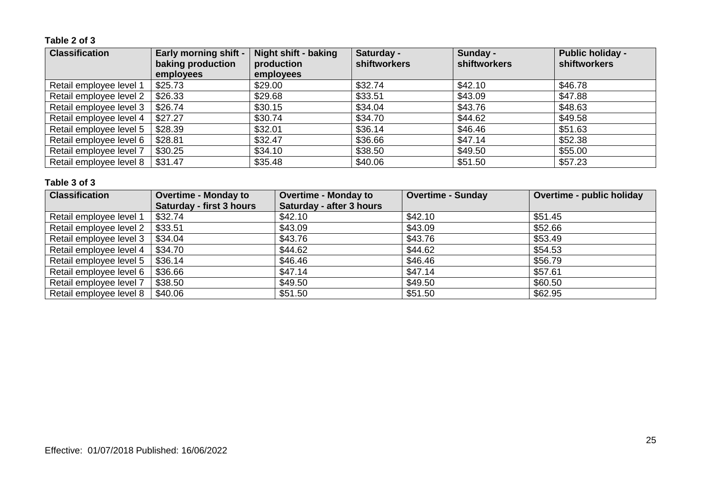#### **Table 2 of 3**

| <b>Classification</b>   | <b>Early morning shift -</b><br>baking production<br>employees | <b>Night shift - baking</b><br>production<br>employees | Saturday -<br>shiftworkers | Sunday -<br><b>shiftworkers</b> | <b>Public holiday -</b><br><b>shiftworkers</b> |
|-------------------------|----------------------------------------------------------------|--------------------------------------------------------|----------------------------|---------------------------------|------------------------------------------------|
| Retail employee level 1 | \$25.73                                                        | \$29.00                                                | \$32.74                    | \$42.10                         | \$46.78                                        |
| Retail employee level 2 | \$26.33                                                        | \$29.68                                                | \$33.51                    | \$43.09                         | \$47.88                                        |
| Retail employee level 3 | \$26.74                                                        | \$30.15                                                | \$34.04                    | \$43.76                         | \$48.63                                        |
| Retail employee level 4 | \$27.27                                                        | \$30.74                                                | \$34.70                    | \$44.62                         | \$49.58                                        |
| Retail employee level 5 | \$28.39                                                        | \$32.01                                                | \$36.14                    | \$46.46                         | \$51.63                                        |
| Retail employee level 6 | \$28.81                                                        | \$32.47                                                | \$36.66                    | \$47.14                         | \$52.38                                        |
| Retail employee level 7 | \$30.25                                                        | \$34.10                                                | \$38.50                    | \$49.50                         | \$55.00                                        |
| Retail employee level 8 | \$31.47                                                        | \$35.48                                                | \$40.06                    | \$51.50                         | \$57.23                                        |

| <b>Classification</b>   | <b>Overtime - Monday to</b> | <b>Overtime - Monday to</b> | <b>Overtime - Sunday</b> | Overtime - public holiday |
|-------------------------|-----------------------------|-----------------------------|--------------------------|---------------------------|
|                         | Saturday - first 3 hours    | Saturday - after 3 hours    |                          |                           |
| Retail employee level 1 | \$32.74                     | \$42.10                     | \$42.10                  | \$51.45                   |
| Retail employee level 2 | \$33.51                     | \$43.09                     | \$43.09                  | \$52.66                   |
| Retail employee level 3 | \$34.04                     | \$43.76                     | \$43.76                  | \$53.49                   |
| Retail employee level 4 | \$34.70                     | \$44.62                     | \$44.62                  | \$54.53                   |
| Retail employee level 5 | \$36.14                     | \$46.46                     | \$46.46                  | \$56.79                   |
| Retail employee level 6 | \$36.66                     | \$47.14                     | \$47.14                  | \$57.61                   |
| Retail employee level 7 | \$38.50                     | \$49.50                     | \$49.50                  | \$60.50                   |
| Retail employee level 8 | \$40.06                     | \$51.50                     | \$51.50                  | \$62.95                   |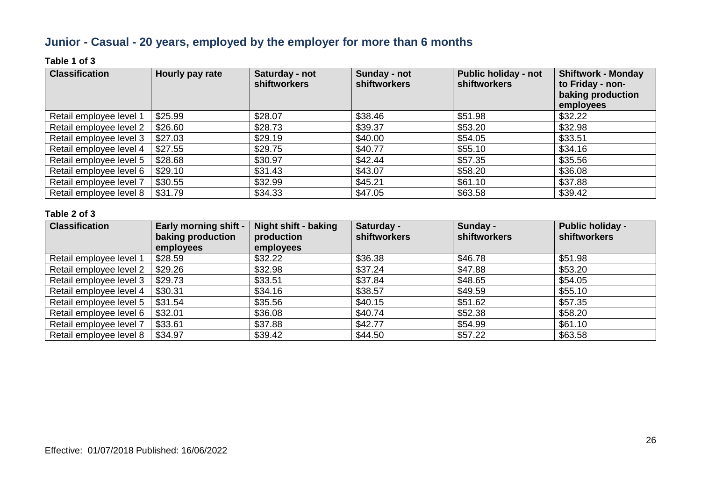# **Junior - Casual - 20 years, employed by the employer for more than 6 months**

#### **Table 1 of 3**

| <b>Classification</b>   | Hourly pay rate | Saturday - not<br><b>shiftworkers</b> | Sunday - not<br><b>shiftworkers</b> | Public holiday - not<br><b>shiftworkers</b> | <b>Shiftwork - Monday</b><br>to Friday - non-<br>baking production<br>employees |
|-------------------------|-----------------|---------------------------------------|-------------------------------------|---------------------------------------------|---------------------------------------------------------------------------------|
| Retail employee level 1 | \$25.99         | \$28.07                               | \$38.46                             | \$51.98                                     | \$32.22                                                                         |
| Retail employee level 2 | \$26.60         | \$28.73                               | \$39.37                             | \$53.20                                     | \$32.98                                                                         |
| Retail employee level 3 | \$27.03         | \$29.19                               | \$40.00                             | \$54.05                                     | \$33.51                                                                         |
| Retail employee level 4 | \$27.55         | \$29.75                               | \$40.77                             | \$55.10                                     | \$34.16                                                                         |
| Retail employee level 5 | \$28.68         | \$30.97                               | \$42.44                             | \$57.35                                     | \$35.56                                                                         |
| Retail employee level 6 | \$29.10         | \$31.43                               | \$43.07                             | \$58.20                                     | \$36.08                                                                         |
| Retail employee level 7 | \$30.55         | \$32.99                               | \$45.21                             | \$61.10                                     | \$37.88                                                                         |
| Retail employee level 8 | \$31.79         | \$34.33                               | \$47.05                             | \$63.58                                     | \$39.42                                                                         |

| <b>Classification</b>   | <b>Early morning shift -</b><br>baking production<br>employees | <b>Night shift - baking</b><br>production<br>employees | Saturday -<br><b>shiftworkers</b> | Sunday -<br><b>shiftworkers</b> | <b>Public holiday -</b><br>shiftworkers |
|-------------------------|----------------------------------------------------------------|--------------------------------------------------------|-----------------------------------|---------------------------------|-----------------------------------------|
| Retail employee level 1 | \$28.59                                                        | \$32.22                                                | \$36.38                           | \$46.78                         | \$51.98                                 |
| Retail employee level 2 | \$29.26                                                        | \$32.98                                                | \$37.24                           | \$47.88                         | \$53.20                                 |
| Retail employee level 3 | \$29.73                                                        | \$33.51                                                | \$37.84                           | \$48.65                         | \$54.05                                 |
| Retail employee level 4 | \$30.31                                                        | \$34.16                                                | \$38.57                           | \$49.59                         | \$55.10                                 |
| Retail employee level 5 | \$31.54                                                        | \$35.56                                                | \$40.15                           | \$51.62                         | \$57.35                                 |
| Retail employee level 6 | \$32.01                                                        | \$36.08                                                | \$40.74                           | \$52.38                         | \$58.20                                 |
| Retail employee level 7 | \$33.61                                                        | \$37.88                                                | \$42.77                           | \$54.99                         | \$61.10                                 |
| Retail employee level 8 | \$34.97                                                        | \$39.42                                                | \$44.50                           | \$57.22                         | \$63.58                                 |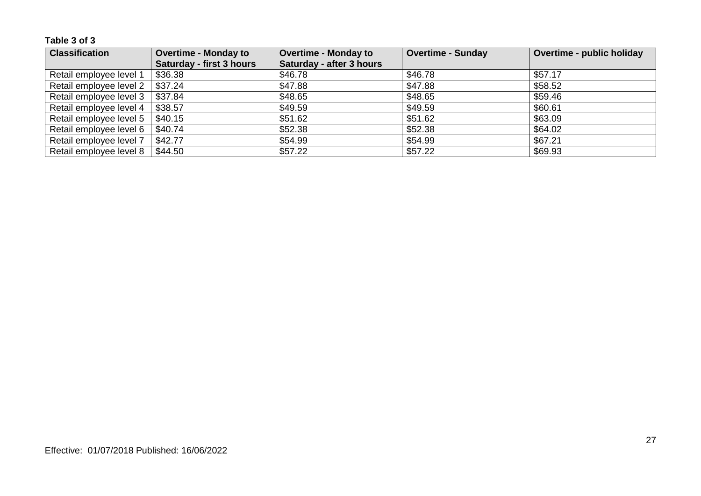| <b>Classification</b>   | <b>Overtime - Monday to</b>     | <b>Overtime - Monday to</b> | Overtime - Sunday | <b>Overtime - public holiday</b> |
|-------------------------|---------------------------------|-----------------------------|-------------------|----------------------------------|
|                         | <b>Saturday - first 3 hours</b> | Saturday - after 3 hours    |                   |                                  |
| Retail employee level 1 | \$36.38                         | \$46.78                     | \$46.78           | \$57.17                          |
| Retail employee level 2 | \$37.24                         | \$47.88                     | \$47.88           | \$58.52                          |
| Retail employee level 3 | \$37.84                         | \$48.65                     | \$48.65           | \$59.46                          |
| Retail employee level 4 | \$38.57                         | \$49.59                     | \$49.59           | \$60.61                          |
| Retail employee level 5 | \$40.15                         | \$51.62                     | \$51.62           | \$63.09                          |
| Retail employee level 6 | \$40.74                         | \$52.38                     | \$52.38           | \$64.02                          |
| Retail employee level 7 | \$42.77                         | \$54.99                     | \$54.99           | \$67.21                          |
| Retail employee level 8 | \$44.50                         | \$57.22                     | \$57.22           | \$69.93                          |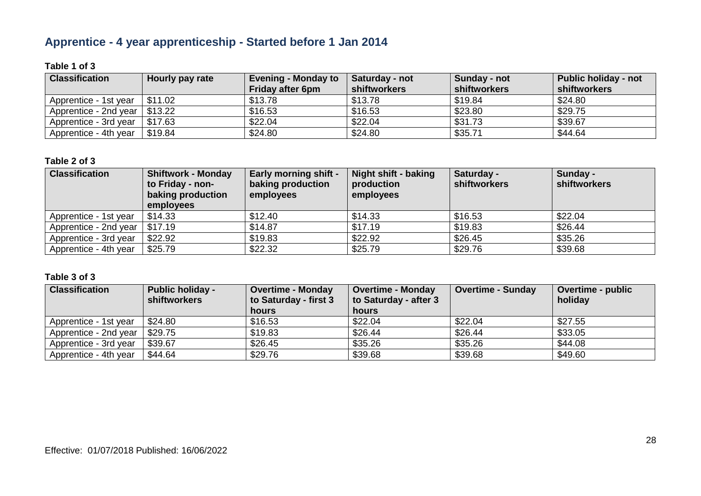# **Apprentice - 4 year apprenticeship - Started before 1 Jan 2014**

#### **Table 1 of 3**

| <b>Classification</b> | Hourly pay rate | <b>Evening - Monday to</b><br><b>Friday after 6pm</b> | Saturday - not<br>shiftworkers | Sunday - not<br>shiftworkers | <b>Public holiday - not</b><br><b>shiftworkers</b> |
|-----------------------|-----------------|-------------------------------------------------------|--------------------------------|------------------------------|----------------------------------------------------|
| Apprentice - 1st year | \$11.02         | \$13.78                                               | \$13.78                        | \$19.84                      | \$24.80                                            |
| Apprentice - 2nd year | \$13.22         | \$16.53                                               | \$16.53                        | \$23.80                      | \$29.75                                            |
| Apprentice - 3rd year | \$17.63         | \$22.04                                               | \$22.04                        | \$31.73                      | \$39.67                                            |
| Apprentice - 4th year | \$19.84         | \$24.80                                               | \$24.80                        | \$35.71                      | \$44.64                                            |

#### **Table 2 of 3**

| <b>Classification</b> | <b>Shiftwork - Monday</b><br>to Friday - non-<br>baking production<br>employees | <b>Early morning shift -</b><br>baking production<br>employees | Night shift - baking<br>production<br>employees | Saturday -<br><b>shiftworkers</b> | Sunday -<br>shiftworkers |
|-----------------------|---------------------------------------------------------------------------------|----------------------------------------------------------------|-------------------------------------------------|-----------------------------------|--------------------------|
| Apprentice - 1st year | \$14.33                                                                         | \$12.40                                                        | \$14.33                                         | \$16.53                           | \$22.04                  |
| Apprentice - 2nd year | \$17.19                                                                         | \$14.87                                                        | \$17.19                                         | \$19.83                           | \$26.44                  |
| Apprentice - 3rd year | \$22.92                                                                         | \$19.83                                                        | \$22.92                                         | \$26.45                           | \$35.26                  |
| Apprentice - 4th year | \$25.79                                                                         | \$22.32                                                        | \$25.79                                         | \$29.76                           | \$39.68                  |

| <b>Classification</b> | <b>Public holiday -</b><br><b>shiftworkers</b> | <b>Overtime - Monday</b><br>to Saturday - first 3 | <b>Overtime - Monday</b><br>to Saturday - after 3 | <b>Overtime - Sunday</b> | Overtime - public<br>holiday |
|-----------------------|------------------------------------------------|---------------------------------------------------|---------------------------------------------------|--------------------------|------------------------------|
|                       |                                                | hours                                             | hours                                             |                          |                              |
| Apprentice - 1st year | \$24.80                                        | \$16.53                                           | \$22.04                                           | \$22.04                  | \$27.55                      |
| Apprentice - 2nd year | \$29.75                                        | \$19.83                                           | \$26.44                                           | \$26.44                  | \$33.05                      |
| Apprentice - 3rd year | \$39.67                                        | \$26.45                                           | \$35.26                                           | \$35.26                  | \$44.08                      |
| Apprentice - 4th year | \$44.64                                        | \$29.76                                           | \$39.68                                           | \$39.68                  | \$49.60                      |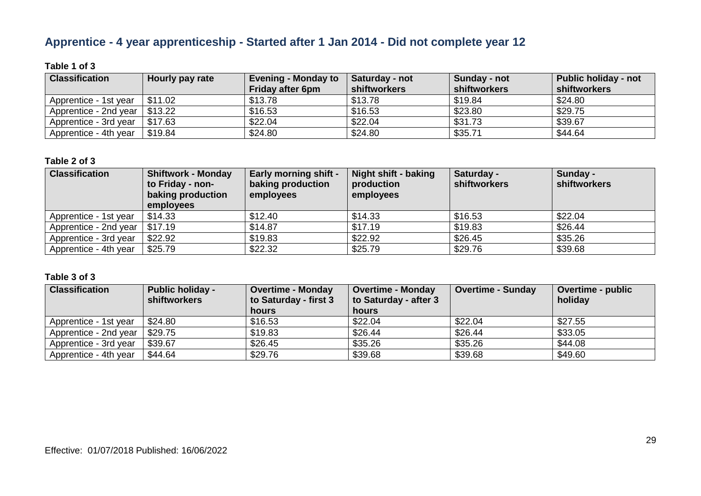# **Apprentice - 4 year apprenticeship - Started after 1 Jan 2014 - Did not complete year 12**

#### **Table 1 of 3**

| <b>Classification</b>           | Hourly pay rate | <b>Evening - Monday to</b><br><b>Friday after 6pm</b> | Saturday - not<br>shiftworkers | Sunday - not<br>shiftworkers | Public holiday - not<br><b>shiftworkers</b> |
|---------------------------------|-----------------|-------------------------------------------------------|--------------------------------|------------------------------|---------------------------------------------|
| Apprentice - 1st year           | $\pm$ \$11.02   | \$13.78                                               | \$13.78                        | \$19.84                      | \$24.80                                     |
| Apprentice - 2nd year   \$13.22 |                 | \$16.53                                               | \$16.53                        | \$23.80                      | \$29.75                                     |
| Apprentice - 3rd year           | \$17.63         | \$22.04                                               | \$22.04                        | \$31.73                      | \$39.67                                     |
| Apprentice - 4th year           | \$19.84         | \$24.80                                               | \$24.80                        | \$35.71                      | \$44.64                                     |

#### **Table 2 of 3**

| <b>Classification</b> | <b>Shiftwork - Monday</b><br>to Friday - non-<br>baking production<br>employees | <b>Early morning shift -</b><br>baking production<br>employees | Night shift - baking<br>production<br>employees | Saturday -<br><b>shiftworkers</b> | Sunday -<br>shiftworkers |
|-----------------------|---------------------------------------------------------------------------------|----------------------------------------------------------------|-------------------------------------------------|-----------------------------------|--------------------------|
| Apprentice - 1st year | \$14.33                                                                         | \$12.40                                                        | \$14.33                                         | \$16.53                           | \$22.04                  |
| Apprentice - 2nd year | \$17.19                                                                         | \$14.87                                                        | \$17.19                                         | \$19.83                           | \$26.44                  |
| Apprentice - 3rd year | \$22.92                                                                         | \$19.83                                                        | \$22.92                                         | \$26.45                           | \$35.26                  |
| Apprentice - 4th year | \$25.79                                                                         | \$22.32                                                        | \$25.79                                         | \$29.76                           | \$39.68                  |

| <b>Classification</b> | <b>Public holiday -</b><br><b>shiftworkers</b> | <b>Overtime - Monday</b><br>to Saturday - first 3 | <b>Overtime - Monday</b><br>to Saturday - after 3 | <b>Overtime - Sunday</b> | Overtime - public<br>holiday |
|-----------------------|------------------------------------------------|---------------------------------------------------|---------------------------------------------------|--------------------------|------------------------------|
|                       |                                                | hours                                             | hours                                             |                          |                              |
| Apprentice - 1st year | \$24.80                                        | \$16.53                                           | \$22.04                                           | \$22.04                  | \$27.55                      |
| Apprentice - 2nd year | \$29.75                                        | \$19.83                                           | \$26.44                                           | \$26.44                  | \$33.05                      |
| Apprentice - 3rd year | \$39.67                                        | \$26.45                                           | \$35.26                                           | \$35.26                  | \$44.08                      |
| Apprentice - 4th year | \$44.64                                        | \$29.76                                           | \$39.68                                           | \$39.68                  | \$49.60                      |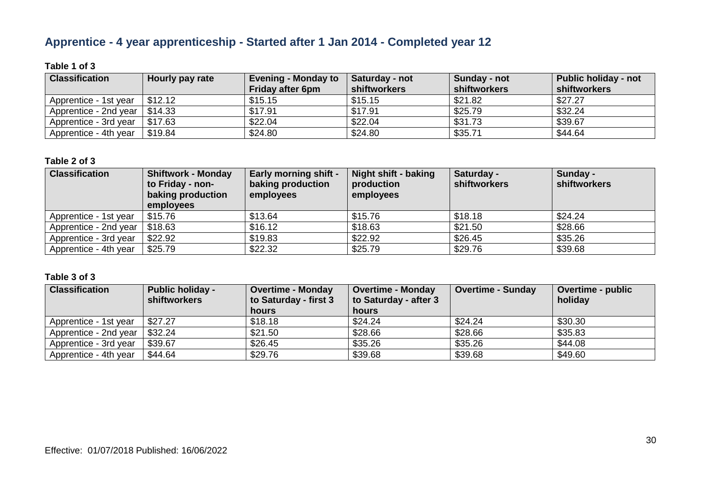# **Apprentice - 4 year apprenticeship - Started after 1 Jan 2014 - Completed year 12**

#### **Table 1 of 3**

| <b>Classification</b> | Hourly pay rate | <b>Evening - Monday to</b><br><b>Friday after 6pm</b> | Saturday - not<br>shiftworkers | Sunday - not<br>shiftworkers | Public holiday - not<br><b>shiftworkers</b> |
|-----------------------|-----------------|-------------------------------------------------------|--------------------------------|------------------------------|---------------------------------------------|
| Apprentice - 1st year | \$12.12         | \$15.15                                               | \$15.15                        | \$21.82                      | \$27.27                                     |
| Apprentice - 2nd year | \$14.33         | \$17.91                                               | \$17.91                        | \$25.79                      | \$32.24                                     |
| Apprentice - 3rd year | \$17.63         | \$22.04                                               | \$22.04                        | \$31.73                      | \$39.67                                     |
| Apprentice - 4th year | \$19.84         | \$24.80                                               | \$24.80                        | \$35.71                      | \$44.64                                     |

#### **Table 2 of 3**

| <b>Classification</b> | <b>Shiftwork - Monday</b><br>to Friday - non-<br>baking production<br>employees | <b>Early morning shift -</b><br>baking production<br>employees | Night shift - baking<br>production<br>employees | Saturday -<br><b>shiftworkers</b> | Sunday -<br>shiftworkers |
|-----------------------|---------------------------------------------------------------------------------|----------------------------------------------------------------|-------------------------------------------------|-----------------------------------|--------------------------|
| Apprentice - 1st year | \$15.76                                                                         | \$13.64                                                        | \$15.76                                         | \$18.18                           | \$24.24                  |
| Apprentice - 2nd year | \$18.63                                                                         | \$16.12                                                        | \$18.63                                         | \$21.50                           | \$28.66                  |
| Apprentice - 3rd year | \$22.92                                                                         | \$19.83                                                        | \$22.92                                         | \$26.45                           | \$35.26                  |
| Apprentice - 4th year | \$25.79                                                                         | \$22.32                                                        | \$25.79                                         | \$29.76                           | \$39.68                  |

| <b>Classification</b> | <b>Public holiday -</b><br><b>shiftworkers</b> | <b>Overtime - Monday</b><br>to Saturday - first 3 | <b>Overtime - Monday</b><br>to Saturday - after 3 | <b>Overtime - Sunday</b> | <b>Overtime - public</b><br>holiday |
|-----------------------|------------------------------------------------|---------------------------------------------------|---------------------------------------------------|--------------------------|-------------------------------------|
|                       |                                                | hours                                             | hours                                             |                          |                                     |
| Apprentice - 1st year | \$27.27                                        | \$18.18                                           | \$24.24                                           | \$24.24                  | \$30.30                             |
| Apprentice - 2nd year | \$32.24                                        | \$21.50                                           | \$28.66                                           | \$28.66                  | \$35.83                             |
| Apprentice - 3rd year | \$39.67                                        | \$26.45                                           | \$35.26                                           | \$35.26                  | \$44.08                             |
| Apprentice - 4th year | \$44.64                                        | \$29.76                                           | \$39.68                                           | \$39.68                  | \$49.60                             |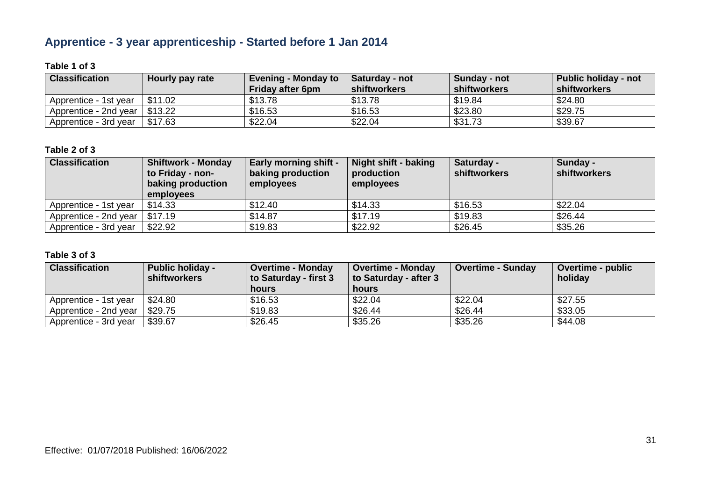# **Apprentice - 3 year apprenticeship - Started before 1 Jan 2014**

#### **Table 1 of 3**

| <b>Classification</b>                | Hourly pay rate | <b>Evening - Monday to</b><br><b>Friday after 6pm</b> | Saturday - not<br>shiftworkers | Sunday - not<br>shiftworkers | <b>Public holiday - not</b><br><b>shiftworkers</b> |
|--------------------------------------|-----------------|-------------------------------------------------------|--------------------------------|------------------------------|----------------------------------------------------|
| Apprentice - 1st year                | \$11.02         | \$13.78                                               | \$13.78                        | \$19.84                      | \$24.80                                            |
| Apprentice - 2nd year $\mid$ \$13.22 |                 | \$16.53                                               | \$16.53                        | \$23.80                      | \$29.75                                            |
| Apprentice - 3rd year                | \$17.63         | \$22.04                                               | \$22.04                        | \$31.73                      | \$39.67                                            |

#### **Table 2 of 3**

| <b>Classification</b> | <b>Shiftwork - Monday</b><br>to Friday - non-<br>baking production<br>employees | <b>Early morning shift -</b><br>baking production<br>employees | Night shift - baking<br>production<br>employees | Saturday -<br>shiftworkers | Sunday -<br>shiftworkers |
|-----------------------|---------------------------------------------------------------------------------|----------------------------------------------------------------|-------------------------------------------------|----------------------------|--------------------------|
| Apprentice - 1st year | \$14.33                                                                         | \$12.40                                                        | \$14.33                                         | \$16.53                    | \$22.04                  |
| Apprentice - 2nd year | \$17.19                                                                         | \$14.87                                                        | \$17.19                                         | \$19.83                    | \$26.44                  |
| Apprentice - 3rd year | \$22.92                                                                         | \$19.83                                                        | \$22.92                                         | \$26.45                    | \$35.26                  |

| <b>Classification</b> | <b>Public holiday -</b><br><b>shiftworkers</b> | <b>Overtime - Monday</b><br>to Saturday - first 3<br>hours | Overtime - Monday<br>to Saturday - after 3<br>hours | <b>Overtime - Sunday</b> | <b>Overtime - public</b><br>holiday |
|-----------------------|------------------------------------------------|------------------------------------------------------------|-----------------------------------------------------|--------------------------|-------------------------------------|
| Apprentice - 1st year | \$24.80                                        | \$16.53                                                    | \$22.04                                             | \$22.04                  | \$27.55                             |
| Apprentice - 2nd year | \$29.75                                        | \$19.83                                                    | \$26.44                                             | \$26.44                  | \$33.05                             |
| Apprentice - 3rd year | \$39.67                                        | \$26.45                                                    | \$35.26                                             | \$35.26                  | \$44.08                             |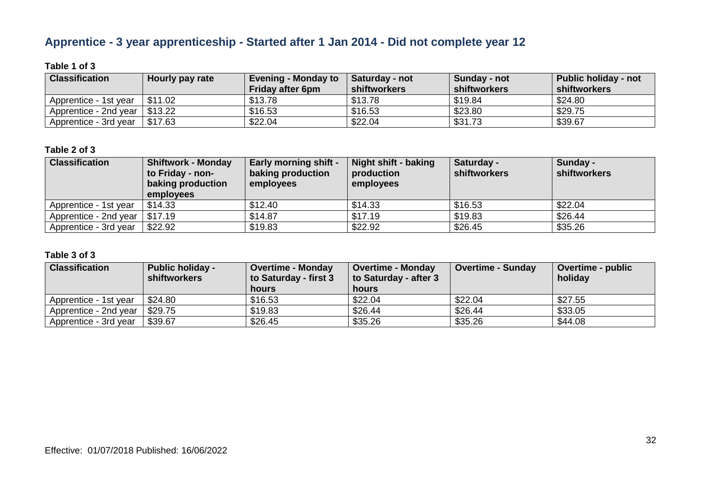# **Apprentice - 3 year apprenticeship - Started after 1 Jan 2014 - Did not complete year 12**

#### **Table 1 of 3**

| <b>Classification</b> | Hourly pay rate | <b>Evening - Monday to</b><br><b>Friday after 6pm</b> | Saturday - not<br>∣ shiftworkers | Sunday - not<br>shiftworkers | Public holiday - not<br><b>shiftworkers</b> |
|-----------------------|-----------------|-------------------------------------------------------|----------------------------------|------------------------------|---------------------------------------------|
| Apprentice - 1st year | \$11.02         | \$13.78                                               | \$13.78                          | \$19.84                      | \$24.80                                     |
| Apprentice - 2nd year | \$13.22         | \$16.53                                               | \$16.53                          | \$23.80                      | \$29.75                                     |
| Apprentice - 3rd year | \$17.63         | \$22.04                                               | \$22.04                          | \$31.73                      | \$39.67                                     |

#### **Table 2 of 3**

| <b>Classification</b> | <b>Shiftwork - Monday</b><br>to Friday - non-<br>baking production<br>employees | <b>Early morning shift -</b><br>baking production<br>employees | Night shift - baking<br>production<br>employees | Saturday -<br><b>shiftworkers</b> | Sunday -<br>shiftworkers |
|-----------------------|---------------------------------------------------------------------------------|----------------------------------------------------------------|-------------------------------------------------|-----------------------------------|--------------------------|
| Apprentice - 1st year | \$14.33                                                                         | \$12.40                                                        | \$14.33                                         | \$16.53                           | \$22.04                  |
| Apprentice - 2nd year | \$17.19                                                                         | \$14.87                                                        | \$17.19                                         | \$19.83                           | \$26.44                  |
| Apprentice - 3rd year | \$22.92                                                                         | \$19.83                                                        | \$22.92                                         | \$26.45                           | \$35.26                  |

| <b>Classification</b> | <b>Public holiday -</b><br><b>shiftworkers</b> | <b>Overtime - Monday</b><br>to Saturday - first 3<br>hours | Overtime - Monday<br>to Saturday - after 3<br>hours | <b>Overtime - Sunday</b> | <b>Overtime - public</b><br>holiday |
|-----------------------|------------------------------------------------|------------------------------------------------------------|-----------------------------------------------------|--------------------------|-------------------------------------|
| Apprentice - 1st year | \$24.80                                        | \$16.53                                                    | \$22.04                                             | \$22.04                  | \$27.55                             |
| Apprentice - 2nd year | \$29.75                                        | \$19.83                                                    | \$26.44                                             | \$26.44                  | \$33.05                             |
| Apprentice - 3rd year | \$39.67                                        | \$26.45                                                    | \$35.26                                             | \$35.26                  | \$44.08                             |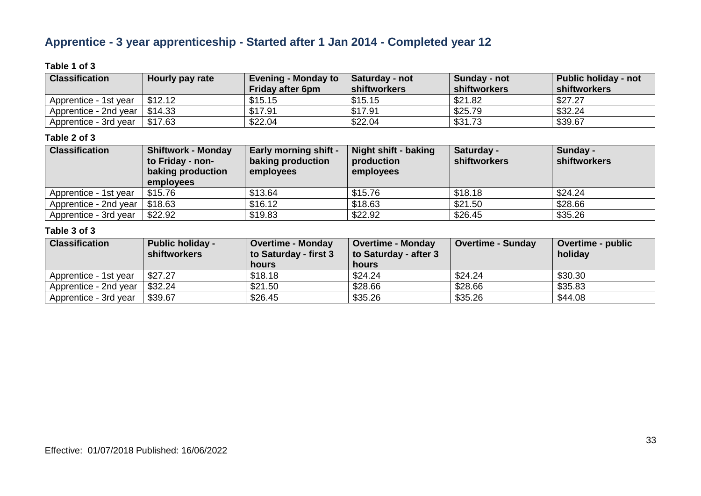# **Apprentice - 3 year apprenticeship - Started after 1 Jan 2014 - Completed year 12**

#### **Table 1 of 3**

| <b>Classification</b>                 | Hourly pay rate | <b>Evening - Monday to</b><br><b>Friday after 6pm</b> | Saturday - not<br>shiftworkers | Sunday - not<br>shiftworkers | <b>Public holiday - not</b><br><b>shiftworkers</b> |
|---------------------------------------|-----------------|-------------------------------------------------------|--------------------------------|------------------------------|----------------------------------------------------|
| Apprentice - 1st year                 | \$12.12         | \$15.15                                               | \$15.15                        | \$21.82                      | \$27.27                                            |
| Apprentice - 2nd year $\vert$ \$14.33 |                 | \$17.91                                               | \$17.91                        | \$25.79                      | \$32.24                                            |
| Apprentice - 3rd year                 | \$17.63         | \$22.04                                               | \$22.04                        | \$31.73                      | \$39.67                                            |

#### **Table 2 of 3**

| <b>Classification</b>                 | <b>Shiftwork - Monday</b><br>to Friday - non-<br>baking production<br>employees | <b>Early morning shift -</b><br>baking production<br>employees | Night shift - baking<br>production<br>employees | Saturday -<br><b>shiftworkers</b> | Sunday -<br>shiftworkers |
|---------------------------------------|---------------------------------------------------------------------------------|----------------------------------------------------------------|-------------------------------------------------|-----------------------------------|--------------------------|
| Apprentice - 1st year                 | \$15.76                                                                         | \$13.64                                                        | \$15.76                                         | \$18.18                           | \$24.24                  |
| Apprentice - 2nd year $\vert$ \$18.63 |                                                                                 | \$16.12                                                        | \$18.63                                         | \$21.50                           | \$28.66                  |
| Apprentice - 3rd year                 | \$22.92                                                                         | \$19.83                                                        | \$22.92                                         | \$26.45                           | \$35.26                  |

| <b>Classification</b> | <b>Public holiday -</b><br><b>shiftworkers</b> | <b>Overtime - Monday</b><br>to Saturday - first 3<br>hours | <b>Overtime - Monday</b><br>to Saturday - after 3<br><b>hours</b> | <b>Overtime - Sunday</b> | <b>Overtime - public</b><br>holiday |
|-----------------------|------------------------------------------------|------------------------------------------------------------|-------------------------------------------------------------------|--------------------------|-------------------------------------|
| Apprentice - 1st year | \$27.27                                        | \$18.18                                                    | \$24.24                                                           | \$24.24                  | \$30.30                             |
| Apprentice - 2nd year | \$32.24                                        | \$21.50                                                    | \$28.66                                                           | \$28.66                  | \$35.83                             |
| Apprentice - 3rd year | \$39.67                                        | \$26.45                                                    | \$35.26                                                           | \$35.26                  | \$44.08                             |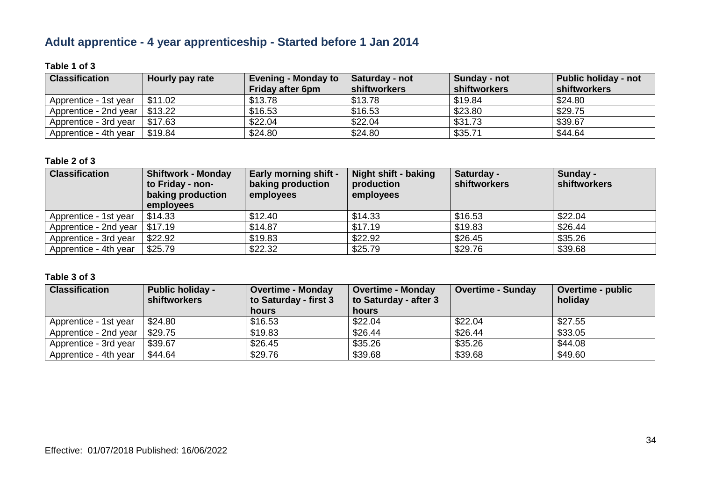# **Adult apprentice - 4 year apprenticeship - Started before 1 Jan 2014**

#### **Table 1 of 3**

| <b>Classification</b> | Hourly pay rate | <b>Evening - Monday to</b><br><b>Friday after 6pm</b> | <b>Saturday - not</b><br>shiftworkers | Sunday - not<br>shiftworkers | <b>Public holiday - not</b><br><b>shiftworkers</b> |
|-----------------------|-----------------|-------------------------------------------------------|---------------------------------------|------------------------------|----------------------------------------------------|
| Apprentice - 1st year | \$11.02         | \$13.78                                               | \$13.78                               | \$19.84                      | \$24.80                                            |
| Apprentice - 2nd year | \$13.22         | \$16.53                                               | \$16.53                               | \$23.80                      | \$29.75                                            |
| Apprentice - 3rd year | \$17.63         | \$22.04                                               | \$22.04                               | \$31.73                      | \$39.67                                            |
| Apprentice - 4th year | \$19.84         | \$24.80                                               | \$24.80                               | \$35.71                      | \$44.64                                            |

#### **Table 2 of 3**

| <b>Classification</b>           | <b>Shiftwork - Monday</b><br>to Friday - non-<br>baking production<br>employees | <b>Early morning shift -</b><br>baking production<br>employees | Night shift - baking<br>production<br>employees | Saturday -<br>shiftworkers | Sunday -<br><b>shiftworkers</b> |
|---------------------------------|---------------------------------------------------------------------------------|----------------------------------------------------------------|-------------------------------------------------|----------------------------|---------------------------------|
| Apprentice - 1st year           | \$14.33                                                                         | \$12.40                                                        | \$14.33                                         | \$16.53                    | \$22.04                         |
| Apprentice - 2nd year   \$17.19 |                                                                                 | \$14.87                                                        | \$17.19                                         | \$19.83                    | \$26.44                         |
| Apprentice - 3rd year           | \$22.92                                                                         | \$19.83                                                        | \$22.92                                         | \$26.45                    | \$35.26                         |
| Apprentice - 4th year           | \$25.79                                                                         | \$22.32                                                        | \$25.79                                         | \$29.76                    | \$39.68                         |

| <b>Classification</b> | <b>Public holiday -</b><br><b>shiftworkers</b> | <b>Overtime - Monday</b><br>to Saturday - first 3 | <b>Overtime - Monday</b><br>to Saturday - after 3 | <b>Overtime - Sunday</b> | Overtime - public<br>holiday |
|-----------------------|------------------------------------------------|---------------------------------------------------|---------------------------------------------------|--------------------------|------------------------------|
|                       |                                                | hours                                             | hours                                             |                          |                              |
| Apprentice - 1st year | \$24.80                                        | \$16.53                                           | \$22.04                                           | \$22.04                  | \$27.55                      |
| Apprentice - 2nd year | \$29.75                                        | \$19.83                                           | \$26.44                                           | \$26.44                  | \$33.05                      |
| Apprentice - 3rd year | \$39.67                                        | \$26.45                                           | \$35.26                                           | \$35.26                  | \$44.08                      |
| Apprentice - 4th year | \$44.64                                        | \$29.76                                           | \$39.68                                           | \$39.68                  | \$49.60                      |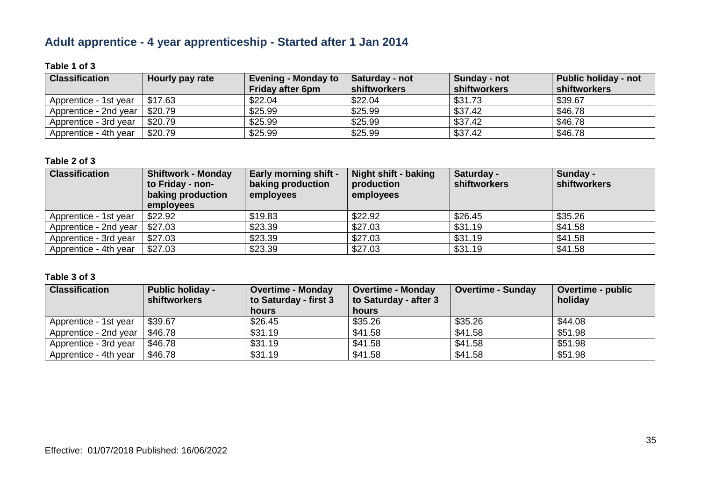# **Adult apprentice - 4 year apprenticeship - Started after 1 Jan 2014**

#### **Table 1 of 3**

| <b>Classification</b> | Hourly pay rate | <b>Evening - Monday to</b><br><b>Friday after 6pm</b> | Saturday - not<br>shiftworkers | Sunday - not<br>shiftworkers | Public holiday - not<br><b>shiftworkers</b> |
|-----------------------|-----------------|-------------------------------------------------------|--------------------------------|------------------------------|---------------------------------------------|
| Apprentice - 1st year | \$17.63         | \$22.04                                               | \$22.04                        | \$31.73                      | \$39.67                                     |
| Apprentice - 2nd year | \$20.79         | \$25.99                                               | \$25.99                        | \$37.42                      | \$46.78                                     |
| Apprentice - 3rd year | \$20.79         | \$25.99                                               | \$25.99                        | \$37.42                      | \$46.78                                     |
| Apprentice - 4th year | \$20.79         | \$25.99                                               | \$25.99                        | \$37.42                      | \$46.78                                     |

#### **Table 2 of 3**

| <b>Classification</b> | <b>Shiftwork - Monday</b><br>to Friday - non-<br>baking production<br>employees | <b>Early morning shift -</b><br>baking production<br>employees | Night shift - baking<br>production<br>employees | Saturday -<br>shiftworkers | Sunday -<br>shiftworkers |
|-----------------------|---------------------------------------------------------------------------------|----------------------------------------------------------------|-------------------------------------------------|----------------------------|--------------------------|
| Apprentice - 1st year | \$22.92                                                                         | \$19.83                                                        | \$22.92                                         | \$26.45                    | \$35.26                  |
| Apprentice - 2nd year | \$27.03                                                                         | \$23.39                                                        | \$27.03                                         | \$31.19                    | \$41.58                  |
| Apprentice - 3rd year | \$27.03                                                                         | \$23.39                                                        | \$27.03                                         | \$31.19                    | \$41.58                  |
| Apprentice - 4th year | \$27.03                                                                         | \$23.39                                                        | \$27.03                                         | \$31.19                    | \$41.58                  |

| <b>Classification</b> | <b>Public holiday -</b><br><b>shiftworkers</b> | <b>Overtime - Monday</b><br>to Saturday - first 3 | <b>Overtime - Monday</b><br>to Saturday - after 3 | <b>Overtime - Sunday</b> | Overtime - public<br>holiday |
|-----------------------|------------------------------------------------|---------------------------------------------------|---------------------------------------------------|--------------------------|------------------------------|
|                       |                                                | hours                                             | hours                                             |                          |                              |
| Apprentice - 1st year | \$39.67                                        | \$26.45                                           | \$35.26                                           | \$35.26                  | \$44.08                      |
| Apprentice - 2nd year | \$46.78                                        | \$31.19                                           | \$41.58                                           | \$41.58                  | \$51.98                      |
| Apprentice - 3rd year | \$46.78                                        | \$31.19                                           | \$41.58                                           | \$41.58                  | \$51.98                      |
| Apprentice - 4th year | \$46.78                                        | \$31.19                                           | \$41.58                                           | \$41.58                  | \$51.98                      |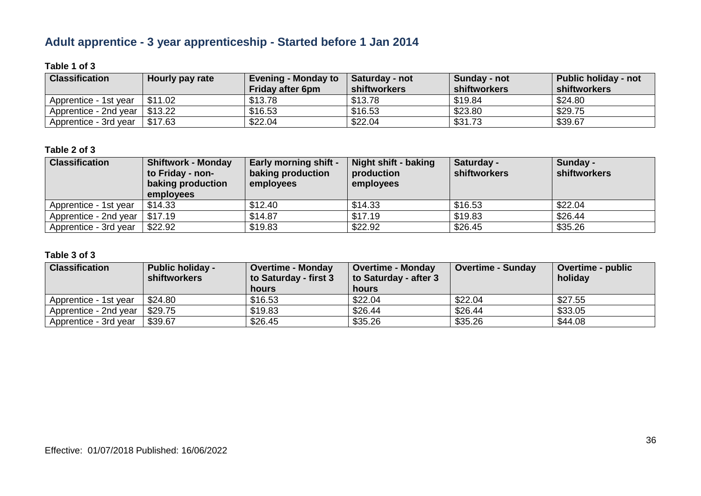# **Adult apprentice - 3 year apprenticeship - Started before 1 Jan 2014**

#### **Table 1 of 3**

| <b>Classification</b>           | Hourly pay rate | <b>Evening - Monday to</b><br><b>Friday after 6pm</b> | <b>Saturday - not</b><br>shiftworkers | Sunday - not<br>shiftworkers | <b>Public holiday - not</b><br><b>shiftworkers</b> |
|---------------------------------|-----------------|-------------------------------------------------------|---------------------------------------|------------------------------|----------------------------------------------------|
| Apprentice - 1st year           | \$11.02         | \$13.78                                               | \$13.78                               | \$19.84                      | \$24.80                                            |
| Apprentice - 2nd year   \$13.22 |                 | \$16.53                                               | \$16.53                               | \$23.80                      | \$29.75                                            |
| Apprentice - 3rd year           | \$17.63         | \$22.04                                               | \$22.04                               | \$31.73                      | \$39.67                                            |

#### **Table 2 of 3**

| <b>Classification</b> | <b>Shiftwork - Monday</b><br>to Friday - non-<br>baking production<br>employees | <b>Early morning shift -</b><br>baking production<br>employees | Night shift - baking<br>production<br>employees | Saturday -<br>shiftworkers | Sunday -<br>shiftworkers |
|-----------------------|---------------------------------------------------------------------------------|----------------------------------------------------------------|-------------------------------------------------|----------------------------|--------------------------|
| Apprentice - 1st year | \$14.33                                                                         | \$12.40                                                        | \$14.33                                         | \$16.53                    | \$22.04                  |
| Apprentice - 2nd year | \$17.19                                                                         | \$14.87                                                        | \$17.19                                         | \$19.83                    | \$26.44                  |
| Apprentice - 3rd year | \$22.92                                                                         | \$19.83                                                        | \$22.92                                         | \$26.45                    | \$35.26                  |

| <b>Classification</b> | <b>Public holiday -</b><br><b>shiftworkers</b> | <b>Overtime - Monday</b><br>to Saturday - first 3<br>hours | <b>Overtime - Monday</b><br>to Saturday - after 3<br>hours | <b>Overtime - Sunday</b> | <b>Overtime - public</b><br>holiday |
|-----------------------|------------------------------------------------|------------------------------------------------------------|------------------------------------------------------------|--------------------------|-------------------------------------|
| Apprentice - 1st year | \$24.80                                        | \$16.53                                                    | \$22.04                                                    | \$22.04                  | \$27.55                             |
| Apprentice - 2nd year | \$29.75                                        | \$19.83                                                    | \$26.44                                                    | \$26.44                  | \$33.05                             |
| Apprentice - 3rd year | \$39.67                                        | \$26.45                                                    | \$35.26                                                    | \$35.26                  | \$44.08                             |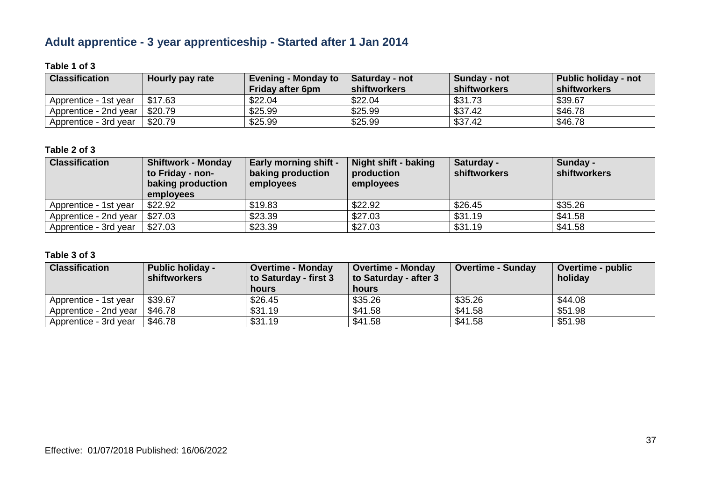# **Adult apprentice - 3 year apprenticeship - Started after 1 Jan 2014**

#### **Table 1 of 3**

| <b>Classification</b> | Hourly pay rate | <b>Evening - Monday to</b><br><b>Friday after 6pm</b> | <b>Saturday - not</b><br>shiftworkers | Sunday - not<br>shiftworkers | Public holiday - not<br><b>shiftworkers</b> |
|-----------------------|-----------------|-------------------------------------------------------|---------------------------------------|------------------------------|---------------------------------------------|
|                       |                 |                                                       |                                       |                              |                                             |
| Apprentice - 1st year | \$17.63         | \$22.04                                               | \$22.04                               | \$31.73                      | \$39.67                                     |
| Apprentice - 2nd year | \$20.79         | \$25.99                                               | \$25.99                               | \$37.42                      | \$46.78                                     |
| Apprentice - 3rd year | \$20.79         | \$25.99                                               | \$25.99                               | \$37.42                      | \$46.78                                     |

#### **Table 2 of 3**

| <b>Classification</b> | <b>Shiftwork - Monday</b><br>to Friday - non-<br>baking production<br>employees | <b>Early morning shift -</b><br>baking production<br>employees | Night shift - baking<br>production<br>employees | Saturday -<br>shiftworkers | Sunday -<br>shiftworkers |
|-----------------------|---------------------------------------------------------------------------------|----------------------------------------------------------------|-------------------------------------------------|----------------------------|--------------------------|
| Apprentice - 1st year | \$22.92                                                                         | \$19.83                                                        | \$22.92                                         | \$26.45                    | \$35.26                  |
| Apprentice - 2nd year | \$27.03                                                                         | \$23.39                                                        | \$27.03                                         | \$31.19                    | \$41.58                  |
| Apprentice - 3rd year | \$27.03                                                                         | \$23.39                                                        | \$27.03                                         | \$31.19                    | \$41.58                  |

| <b>Classification</b> | <b>Public holiday -</b><br><b>shiftworkers</b> | <b>Overtime - Monday</b><br>to Saturday - first 3<br>hours | <b>Overtime - Monday</b><br>to Saturday - after 3<br>hours | <b>Overtime - Sunday</b> | <b>Overtime - public</b><br>holiday |
|-----------------------|------------------------------------------------|------------------------------------------------------------|------------------------------------------------------------|--------------------------|-------------------------------------|
| Apprentice - 1st year | \$39.67                                        | \$26.45                                                    | \$35.26                                                    | \$35.26                  | \$44.08                             |
| Apprentice - 2nd year | \$46.78                                        | \$31.19                                                    | \$41.58                                                    | \$41.58                  | \$51.98                             |
| Apprentice - 3rd year | \$46.78                                        | \$31.19                                                    | \$41.58                                                    | \$41.58                  | \$51.98                             |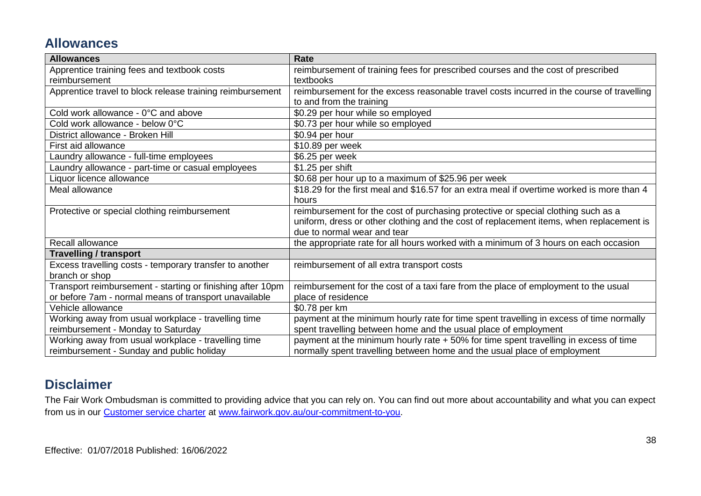# **Allowances**

| <b>Allowances</b>                                          | <b>Rate</b>                                                                                |
|------------------------------------------------------------|--------------------------------------------------------------------------------------------|
| Apprentice training fees and textbook costs                | reimbursement of training fees for prescribed courses and the cost of prescribed           |
| reimbursement                                              | textbooks                                                                                  |
| Apprentice travel to block release training reimbursement  | reimbursement for the excess reasonable travel costs incurred in the course of travelling  |
|                                                            | to and from the training                                                                   |
| Cold work allowance - 0°C and above                        | \$0.29 per hour while so employed                                                          |
| Cold work allowance - below 0°C                            | \$0.73 per hour while so employed                                                          |
| District allowance - Broken Hill                           | \$0.94 per hour                                                                            |
| First aid allowance                                        | \$10.89 per week                                                                           |
| Laundry allowance - full-time employees                    | \$6.25 per week                                                                            |
| Laundry allowance - part-time or casual employees          | \$1.25 per shift                                                                           |
| Liquor licence allowance                                   | \$0.68 per hour up to a maximum of \$25.96 per week                                        |
| Meal allowance                                             | \$18.29 for the first meal and \$16.57 for an extra meal if overtime worked is more than 4 |
|                                                            | hours                                                                                      |
| Protective or special clothing reimbursement               | reimbursement for the cost of purchasing protective or special clothing such as a          |
|                                                            | uniform, dress or other clothing and the cost of replacement items, when replacement is    |
|                                                            | due to normal wear and tear                                                                |
| Recall allowance                                           | the appropriate rate for all hours worked with a minimum of 3 hours on each occasion       |
| <b>Travelling / transport</b>                              |                                                                                            |
| Excess travelling costs - temporary transfer to another    | reimbursement of all extra transport costs                                                 |
| branch or shop                                             |                                                                                            |
| Transport reimbursement - starting or finishing after 10pm | reimbursement for the cost of a taxi fare from the place of employment to the usual        |
| or before 7am - normal means of transport unavailable      | place of residence                                                                         |
| Vehicle allowance                                          | \$0.78 per km                                                                              |
| Working away from usual workplace - travelling time        | payment at the minimum hourly rate for time spent travelling in excess of time normally    |
| reimbursement - Monday to Saturday                         | spent travelling between home and the usual place of employment                            |
| Working away from usual workplace - travelling time        | payment at the minimum hourly rate + 50% for time spent travelling in excess of time       |
| reimbursement - Sunday and public holiday                  | normally spent travelling between home and the usual place of employment                   |

# **Disclaimer**

The Fair Work Ombudsman is committed to providing advice that you can rely on. You can find out more about accountability and what you can expect from us in our [Customer service charter](https://www.fairwork.gov.au/about-us/our-role-and-purpose/our-priorities/our-commitment-to-you#customer-service-charter) at [www.fairwork.gov.au/our-commitment-to-you.](http://www.fairwork.gov.au/our-commitment-to-you)